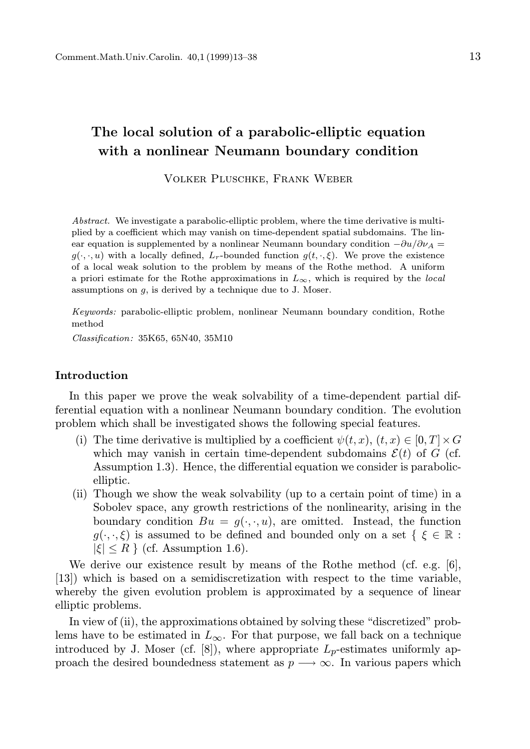# The local solution of a parabolic-elliptic equation with a nonlinear Neumann boundary condition

Volker Pluschke, Frank Weber

Abstract. We investigate a parabolic-elliptic problem, where the time derivative is multiplied by a coefficient which may vanish on time-dependent spatial subdomains. The linear equation is supplemented by a nonlinear Neumann boundary condition  $-\partial u/\partial v_A =$  $g(\cdot, \cdot, u)$  with a locally defined,  $L_r$ -bounded function  $g(t, \cdot, \xi)$ . We prove the existence of a local weak solution to the problem by means of the Rothe method. A uniform a priori estimate for the Rothe approximations in  $L_{\infty}$ , which is required by the local assumptions on  $g$ , is derived by a technique due to J. Moser.

Keywords: parabolic-elliptic problem, nonlinear Neumann boundary condition, Rothe method

Classification: 35K65, 65N40, 35M10

## Introduction

In this paper we prove the weak solvability of a time-dependent partial differential equation with a nonlinear Neumann boundary condition. The evolution problem which shall be investigated shows the following special features.

- (i) The time derivative is multiplied by a coefficient  $\psi(t, x)$ ,  $(t, x) \in [0, T] \times G$ which may vanish in certain time-dependent subdomains  $\mathcal{E}(t)$  of G (cf. Assumption 1.3). Hence, the differential equation we consider is parabolicelliptic.
- (ii) Though we show the weak solvability (up to a certain point of time) in a Sobolev space, any growth restrictions of the nonlinearity, arising in the boundary condition  $Bu = g(\cdot, \cdot, u)$ , are omitted. Instead, the function  $g(\cdot,\cdot,\xi)$  is assumed to be defined and bounded only on a set  $\{\xi \in \mathbb{R} :$  $|\xi| \leq R$  { (cf. Assumption 1.6).

We derive our existence result by means of the Rothe method (cf. e.g. [6], [13]) which is based on a semidiscretization with respect to the time variable, whereby the given evolution problem is approximated by a sequence of linear elliptic problems.

In view of (ii), the approximations obtained by solving these "discretized" problems have to be estimated in  $L_{\infty}$ . For that purpose, we fall back on a technique introduced by J. Moser (cf.  $(8)$ ), where appropriate  $L_p$ -estimates uniformly approach the desired boundedness statement as  $p \rightarrow \infty$ . In various papers which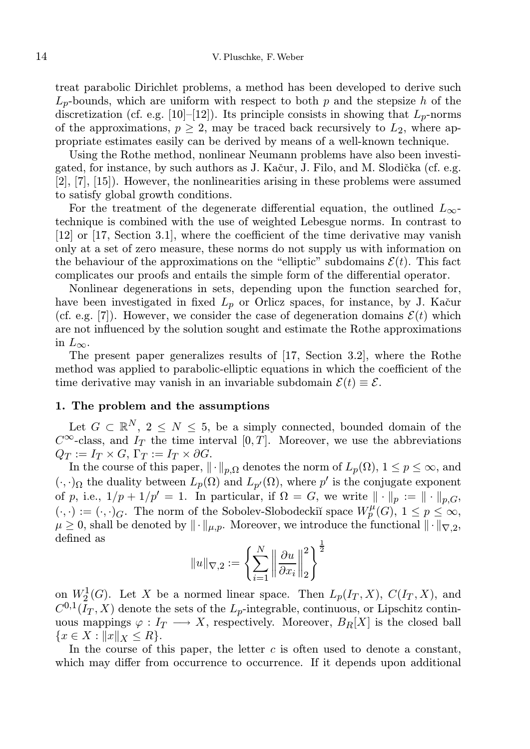treat parabolic Dirichlet problems, a method has been developed to derive such  $L_p$ -bounds, which are uniform with respect to both p and the stepsize h of the discretization (cf. e.g. [10]–[12]). Its principle consists in showing that  $L_p$ -norms of the approximations,  $p \geq 2$ , may be traced back recursively to  $L_2$ , where appropriate estimates easily can be derived by means of a well-known technique.

Using the Rothe method, nonlinear Neumann problems have also been investigated, for instance, by such authors as J. Kačur, J. Filo, and M. Slodička (cf. e.g. [2], [7], [15]). However, the nonlinearities arising in these problems were assumed to satisfy global growth conditions.

For the treatment of the degenerate differential equation, the outlined  $L_{\infty}$ technique is combined with the use of weighted Lebesgue norms. In contrast to [12] or [17, Section 3.1], where the coefficient of the time derivative may vanish only at a set of zero measure, these norms do not supply us with information on the behaviour of the approximations on the "elliptic" subdomains  $\mathcal{E}(t)$ . This fact complicates our proofs and entails the simple form of the differential operator.

Nonlinear degenerations in sets, depending upon the function searched for, have been investigated in fixed  $L_p$  or Orlicz spaces, for instance, by J. Kačur (cf. e.g. [7]). However, we consider the case of degeneration domains  $\mathcal{E}(t)$  which are not influenced by the solution sought and estimate the Rothe approximations in  $L_{\infty}$ .

The present paper generalizes results of [17, Section 3.2], where the Rothe method was applied to parabolic-elliptic equations in which the coefficient of the time derivative may vanish in an invariable subdomain  $\mathcal{E}(t) \equiv \mathcal{E}$ .

## 1. The problem and the assumptions

Let  $G \subset \mathbb{R}^N$ ,  $2 \leq N \leq 5$ , be a simply connected, bounded domain of the  $C^{\infty}$ -class, and  $I_T$  the time interval [0, T]. Moreover, we use the abbreviations  $Q_T := I_T \times G$ ,  $\Gamma_T := I_T \times \partial G$ .

In the course of this paper,  $\|\cdot\|_{p,\Omega}$  denotes the norm of  $L_p(\Omega)$ ,  $1 \le p \le \infty$ , and  $(\cdot, \cdot)_{\Omega}$  the duality between  $L_p(\Omega)$  and  $L_{p'}(\Omega)$ , where  $p'$  is the conjugate exponent of p, i.e.,  $1/p + 1/p' = 1$ . In particular, if  $\Omega = G$ , we write  $\|\cdot\|_p := \|\cdot\|_{p,G}$ ,  $(\cdot, \cdot) := (\cdot, \cdot)_G$ . The norm of the Sobolev-Slobodeckiı̆ space  $W_p^{\mu}(G)$ ,  $1 \leq p \leq \infty$ ,  $\mu \geq 0$ , shall be denoted by  $\|\cdot\|_{\mu,p}$ . Moreover, we introduce the functional  $\|\cdot\|_{\nabla,2}$ , defined as

$$
\|u\|_{\nabla,2}:=\left\{\sum_{i=1}^N\left\|\frac{\partial u}{\partial x_i}\right\|_2^2\right\}^{\frac{1}{2}}
$$

on  $W_2^1(G)$ . Let X be a normed linear space. Then  $L_p(I_T, X)$ ,  $C(I_T, X)$ , and  $C^{0,1}(I_T, X)$  denote the sets of the  $L_p$ -integrable, continuous, or Lipschitz continuous mappings  $\varphi: I_T \longrightarrow X$ , respectively. Moreover,  $B_R[X]$  is the closed ball  ${x \in X : ||x||_X \leq R}.$ 

In the course of this paper, the letter  $c$  is often used to denote a constant, which may differ from occurrence to occurrence. If it depends upon additional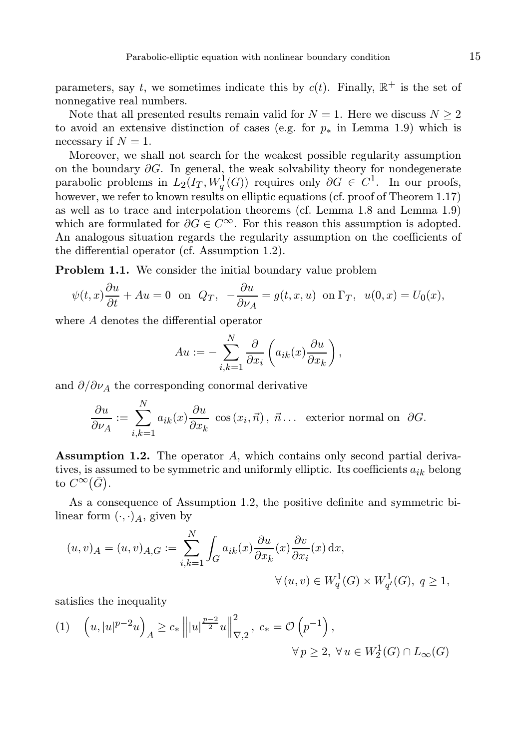parameters, say t, we sometimes indicate this by  $c(t)$ . Finally,  $\mathbb{R}^+$  is the set of nonnegative real numbers.

Note that all presented results remain valid for  $N = 1$ . Here we discuss  $N \geq 2$ to avoid an extensive distinction of cases (e.g. for  $p_*$  in Lemma 1.9) which is necessary if  $N = 1$ .

Moreover, we shall not search for the weakest possible regularity assumption on the boundary  $\partial G$ . In general, the weak solvability theory for nondegenerate parabolic problems in  $L_2(I_T, W_q^1(G))$  requires only  $\partial G \in C^1$ . In our proofs, however, we refer to known results on elliptic equations (cf. proof of Theorem 1.17) as well as to trace and interpolation theorems (cf. Lemma 1.8 and Lemma 1.9) which are formulated for  $\partial G \in C^{\infty}$ . For this reason this assumption is adopted. An analogous situation regards the regularity assumption on the coefficients of the differential operator (cf. Assumption 1.2).

Problem 1.1. We consider the initial boundary value problem

$$
\psi(t,x)\frac{\partial u}{\partial t} + Au = 0
$$
 on  $Q_T$ ,  $-\frac{\partial u}{\partial \nu_A} = g(t,x,u)$  on  $\Gamma_T$ ,  $u(0,x) = U_0(x)$ ,

where A denotes the differential operator

$$
Au := -\sum_{i,k=1}^N \frac{\partial}{\partial x_i} \left( a_{ik}(x) \frac{\partial u}{\partial x_k} \right),
$$

and  $\partial/\partial \nu_A$  the corresponding conormal derivative

$$
\frac{\partial u}{\partial \nu_A} := \sum_{i,k=1}^N a_{ik}(x) \frac{\partial u}{\partial x_k} \cos(x_i, \vec{n}), \ \vec{n} \dots \text{ exterior normal on } \partial G.
$$

Assumption 1.2. The operator A, which contains only second partial derivatives, is assumed to be symmetric and uniformly elliptic. Its coefficients  $a_{ik}$  belong to  $C^{\infty}(\bar{G})$ .

As a consequence of Assumption 1.2, the positive definite and symmetric bilinear form  $(\cdot, \cdot)_A$ , given by

$$
\label{eq:2.1} \begin{split} (u,v)_A=(u,v)_{A,G}:=\sum_{i,k=1}^N\int_G a_{ik}(x)\frac{\partial u}{\partial x_k}(x)\frac{\partial v}{\partial x_i}(x)\,\mathrm{d} x,\\ \forall\,(u,v)\in W^1_q(G)\times W^1_{q'}(G),\;q\geq 1, \end{split}
$$

satisfies the inequality

$$
(1) \quad \left(u, |u|^{p-2}u\right)_A \ge c_* \left\||u|^{\frac{p-2}{2}}u\right\|_{\nabla,2}^2, \ c_* = \mathcal{O}\left(p^{-1}\right), \\
 \forall p \ge 2, \ \forall u \in W_2^1(G) \cap L_\infty(G)
$$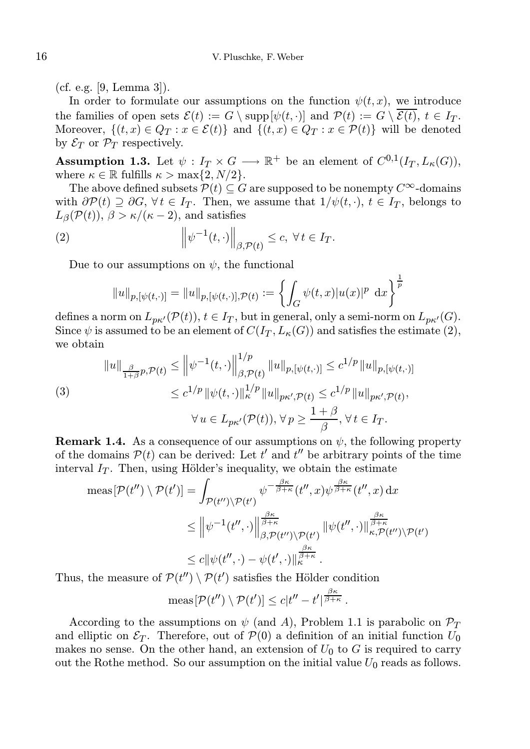(cf. e.g. [9, Lemma 3]).

In order to formulate our assumptions on the function  $\psi(t, x)$ , we introduce the families of open sets  $\mathcal{E}(t) := G \setminus \text{supp}[\psi(t, \cdot)]$  and  $\mathcal{P}(t) := G \setminus \overline{\mathcal{E}(t)}, t \in I_T$ . Moreover,  $\{(t, x) \in Q_T : x \in \mathcal{E}(t)\}\$ and  $\{(t, x) \in Q_T : x \in \mathcal{P}(t)\}\$  will be denoted by  $\mathcal{E}_T$  or  $\mathcal{P}_T$  respectively.

**Assumption 1.3.** Let  $\psi: I_T \times G \longrightarrow \mathbb{R}^+$  be an element of  $C^{0,1}(I_T, L_K(G)),$ where  $\kappa \in \mathbb{R}$  fulfills  $\kappa > \max\{2, N/2\}.$ 

The above defined subsets  $P(t) \subseteq G$  are supposed to be nonempty  $C^{\infty}$ -domains with  $\partial \mathcal{P}(t) \supseteq \partial G$ ,  $\forall t \in I_T$ . Then, we assume that  $1/\psi(t, \cdot)$ ,  $t \in I_T$ , belongs to  $L_{\beta}(\mathcal{P}(t)), \beta > \kappa/(\kappa - 2)$ , and satisfies

(2) 
$$
\left\|\psi^{-1}(t,\cdot)\right\|_{\beta,\mathcal{P}(t)} \leq c, \ \forall \, t \in I_T.
$$

Due to our assumptions on  $\psi$ , the functional

$$
||u||_{p,[\psi(t,\cdot)]} = ||u||_{p,[\psi(t,\cdot)],\mathcal{P}(t)} := \left\{ \int_G \psi(t,x) |u(x)|^p \, dx \right\}^{\frac{1}{p}}
$$

defines a norm on  $L_{p\kappa'}(\mathcal{P}(t)), t \in I_T$ , but in general, only a semi-norm on  $L_{p\kappa'}(G)$ . Since  $\psi$  is assumed to be an element of  $C(I_T, L_{\kappa}(G))$  and satisfies the estimate (2), we obtain

(3)  

$$
||u||_{\frac{\beta}{1+\beta}p,\mathcal{P}(t)} \le ||\psi^{-1}(t,\cdot)||_{\beta,\mathcal{P}(t)}^{1/p} ||u||_{p,[\psi(t,\cdot)]} \le c^{1/p} ||u||_{p,[\psi(t,\cdot)]}
$$

$$
\le c^{1/p} ||\psi(t,\cdot)||_{\kappa}^{1/p} ||u||_{p\kappa',\mathcal{P}(t)} \le c^{1/p} ||u||_{p\kappa',\mathcal{P}(t)},
$$

$$
\forall u \in L_{p\kappa'}(\mathcal{P}(t)), \forall p \ge \frac{1+\beta}{\beta}, \forall t \in I_T.
$$

**Remark 1.4.** As a consequence of our assumptions on  $\psi$ , the following property of the domains  $\mathcal{P}(t)$  can be derived: Let t' and t'' be arbitrary points of the time interval  $I_T$ . Then, using Hölder's inequality, we obtain the estimate

$$
\operatorname{meas}[\mathcal{P}(t'') \setminus \mathcal{P}(t')] = \int_{\mathcal{P}(t'') \setminus \mathcal{P}(t')} \psi^{-\frac{\beta \kappa}{\beta + \kappa}}(t'', x) \psi^{\frac{\beta \kappa}{\beta + \kappa}}(t'', x) dx
$$
  

$$
\leq \left\| \psi^{-1}(t'', \cdot) \right\|_{\beta, \mathcal{P}(t'') \setminus \mathcal{P}(t')}^{\frac{\beta \kappa}{\beta + \kappa}} \left\| \psi(t'', \cdot) \right\|_{\kappa, \mathcal{P}(t'') \setminus \mathcal{P}(t')}^{\frac{\beta \kappa}{\beta + \kappa}}
$$
  

$$
\leq c \|\psi(t'', \cdot) - \psi(t', \cdot)\|_{\kappa}^{\frac{\beta \kappa}{\beta + \kappa}}.
$$

Thus, the measure of  $\mathcal{P}(t'') \setminus \mathcal{P}(t')$  satisfies the Hölder condition

$$
\operatorname{meas}[\mathcal{P}(t'')\setminus \mathcal{P}(t')] \leq c|t'' - t'|^{\frac{\beta\kappa}{\beta+\kappa}}.
$$

According to the assumptions on  $\psi$  (and A), Problem 1.1 is parabolic on  $\mathcal{P}_T$ and elliptic on  $\mathcal{E}_T$ . Therefore, out of  $\mathcal{P}(0)$  a definition of an initial function  $U_0$ makes no sense. On the other hand, an extension of  $U_0$  to G is required to carry out the Rothe method. So our assumption on the initial value  $U_0$  reads as follows.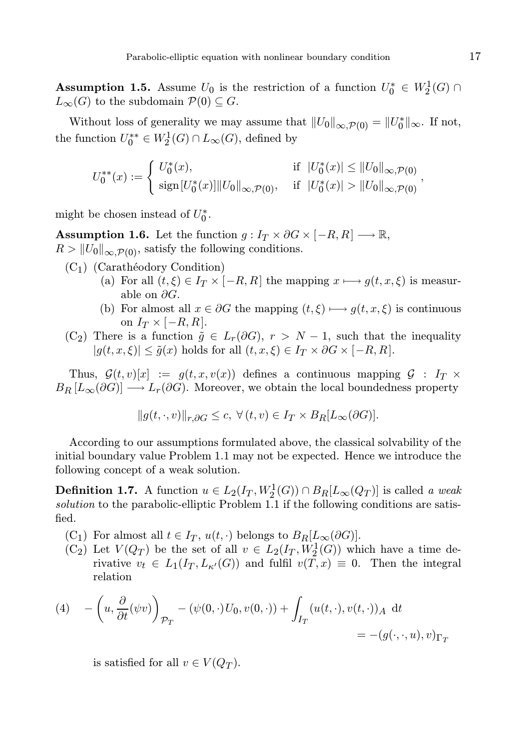**Assumption 1.5.** Assume  $U_0$  is the restriction of a function  $U_0^* \in W_2^1(G) \cap$  $L_{\infty}(G)$  to the subdomain  $\mathcal{P}(0) \subseteq G$ .

Without loss of generality we may assume that  $||U_0||_{\infty,\mathcal{P}(0)} = ||U_0^*||_{\infty}$ . If not, the function  $U_0^{**} \in W_2^1(G) \cap L_\infty(G)$ , defined by

$$
U_0^{**}(x) := \begin{cases} U_0^*(x), & \text{if } |U_0^*(x)| \leq ||U_0||_{\infty, \mathcal{P}(0)}, \\ \operatorname{sign}[U_0^*(x)] ||U_0||_{\infty, \mathcal{P}(0)}, & \text{if } |U_0^*(x)| > ||U_0||_{\infty, \mathcal{P}(0)}, \end{cases}
$$

might be chosen instead of  $U_0^*$ .

**Assumption 1.6.** Let the function  $g: I_T \times \partial G \times [-R, R] \longrightarrow \mathbb{R}$ ,  $R > ||U_0||_{\infty, \mathcal{P}(0)}$ , satisfy the following conditions.

- $(C_1)$  (Carathéodory Condition)
	- (a) For all  $(t, \xi) \in I_T \times [-R, R]$  the mapping  $x \mapsto g(t, x, \xi)$  is measurable on  $\partial G$ .
	- (b) For almost all  $x \in \partial G$  the mapping  $(t, \xi) \longmapsto g(t, x, \xi)$  is continuous on  $I_T \times [-R, R]$ .
- (C<sub>2</sub>) There is a function  $\tilde{g} \in L_r(\partial G)$ ,  $r > N 1$ , such that the inequality  $|g(t, x, \xi)| \leq \tilde{g}(x)$  holds for all  $(t, x, \xi) \in I_T \times \partial G \times [-R, R].$

Thus,  $\mathcal{G}(t, v)[x] := g(t, x, v(x))$  defines a continuous mapping  $\mathcal{G} : I_T \times$  $B_R [L_\infty(\partial G)] \longrightarrow L_r(\partial G)$ . Moreover, we obtain the local boundedness property

$$
||g(t,\cdot,v)||_{r,\partial G} \leq c, \ \forall (t,v) \in I_T \times B_R[L_\infty(\partial G)].
$$

According to our assumptions formulated above, the classical solvability of the initial boundary value Problem 1.1 may not be expected. Hence we introduce the following concept of a weak solution.

**Definition 1.7.** A function  $u \in L_2(I_T, W_2^1(G)) \cap B_R[L_\infty(Q_T)]$  is called a weak solution to the parabolic-elliptic Problem 1.1 if the following conditions are satisfied.

- (C<sub>1</sub>) For almost all  $t \in I_T$ ,  $u(t, \cdot)$  belongs to  $B_R[L_\infty(\partial G)]$ .
- $(C_2)$  Let  $V(Q_T)$  be the set of all  $v \in L_2(I_T, W_2^1(G))$  which have a time derivative  $v_t \in L_1(I_T, L_{\kappa'}(G))$  and fulfil  $v(T, x) \equiv 0$ . Then the integral relation

(4) 
$$
- \left( u, \frac{\partial}{\partial t} (\psi v) \right)_{\mathcal{P}_T} - (\psi(0, \cdot) U_0, v(0, \cdot)) + \int_{I_T} (u(t, \cdot), v(t, \cdot))_A \, dt
$$
  
= 
$$
- (g(\cdot, \cdot, u), v)_{\Gamma_T}
$$

is satisfied for all  $v \in V(Q_T)$ .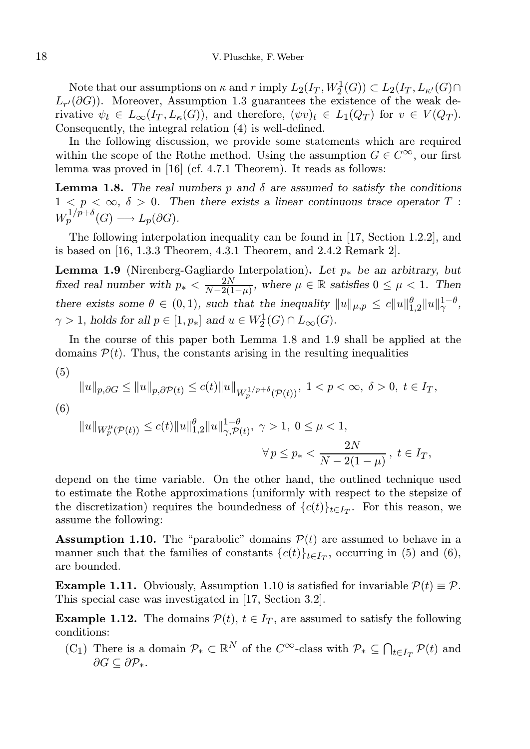Note that our assumptions on  $\kappa$  and  $r$  imply  $L_2(I_T, W_2^1(G)) \subset L_2(I_T, L_{\kappa'}(G) \cap$  $L_{r'}(\partial G)$ . Moreover, Assumption 1.3 guarantees the existence of the weak derivative  $\psi_t \in L_\infty(I_T, L_\kappa(G))$ , and therefore,  $(\psi v)_t \in L_1(Q_T)$  for  $v \in V(Q_T)$ . Consequently, the integral relation (4) is well-defined.

In the following discussion, we provide some statements which are required within the scope of the Rothe method. Using the assumption  $G \in C^{\infty}$ , our first lemma was proved in [16] (cf. 4.7.1 Theorem). It reads as follows:

**Lemma 1.8.** The real numbers p and  $\delta$  are assumed to satisfy the conditions  $1 < p < \infty$ ,  $\delta > 0$ . Then there exists a linear continuous trace operator T:  $W_p^{1/p+\delta}(G) \longrightarrow L_p(\partial G).$ 

The following interpolation inequality can be found in [17, Section 1.2.2], and is based on [16, 1.3.3 Theorem, 4.3.1 Theorem, and 2.4.2 Remark 2].

**Lemma 1.9** (Nirenberg-Gagliardo Interpolation). Let  $p_*$  be an arbitrary, but fixed real number with  $p_* < \frac{2N}{N-2(1)}$  $\frac{2N}{N-2(1-\mu)}$ , where  $\mu \in \mathbb{R}$  satisfies  $0 \leq \mu < 1$ . Then there exists some  $\theta \in (0,1)$ , such that the inequality  $||u||_{\mu,p} \le c||u||_{1,2}^{\theta}||u||_{\gamma}^{1-\theta}$ ,  $\gamma > 1$ , holds for all  $p \in [1, p_*]$  and  $u \in W_2^1(G) \cap L_\infty(G)$ .

In the course of this paper both Lemma 1.8 and 1.9 shall be applied at the domains  $P(t)$ . Thus, the constants arising in the resulting inequalities

(5)

$$
\|u\|_{p,\partial G} \le \|u\|_{p,\partial \mathcal{P}(t)} \le c(t) \|u\|_{W^{1/p+\delta}_p(\mathcal{P}(t))}, \ 1 < p < \infty, \ \delta > 0, \ t \in I_T,
$$

(6)

$$
||u||_{W_p^{\mu}(\mathcal{P}(t))} \le c(t)||u||_{1,2}^{\theta}||u||_{\gamma,\mathcal{P}(t)}^{1-\theta}, \ \gamma > 1, \ 0 \le \mu < 1,
$$
  

$$
\forall p \le p_* < \frac{2N}{N-2(1-\mu)}, \ t \in I_T,
$$

depend on the time variable. On the other hand, the outlined technique used to estimate the Rothe approximations (uniformly with respect to the stepsize of the discretization) requires the boundedness of  ${c(t)}_{t\in I_T}$ . For this reason, we assume the following:

**Assumption 1.10.** The "parabolic" domains  $\mathcal{P}(t)$  are assumed to behave in a manner such that the families of constants  ${c(t)}_{t\in I_T}$ , occurring in (5) and (6), are bounded.

**Example 1.11.** Obviously, Assumption 1.10 is satisfied for invariable  $\mathcal{P}(t) \equiv \mathcal{P}$ . This special case was investigated in [17, Section 3.2].

**Example 1.12.** The domains  $\mathcal{P}(t)$ ,  $t \in I_T$ , are assumed to satisfy the following conditions:

 $(C_1)$  There is a domain  $\mathcal{P}_* \subset \mathbb{R}^N$  of the  $C^{\infty}$ -class with  $\mathcal{P}_* \subseteq \bigcap_{t \in I_T} \mathcal{P}(t)$  and  $\partial G \subseteq \partial \mathcal{P}_*.$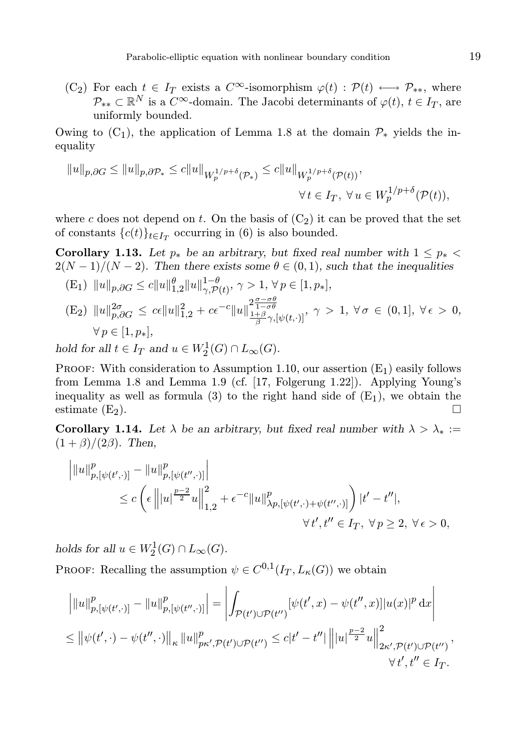(C<sub>2</sub>) For each  $t \in I_T$  exists a  $C^{\infty}$ -isomorphism  $\varphi(t) : \mathcal{P}(t) \longleftrightarrow \mathcal{P}_{**}$ , where  $\mathcal{P}_{**} \subset \mathbb{R}^N$  is a  $C^{\infty}$ -domain. The Jacobi determinants of  $\varphi(t), t \in I_T$ , are uniformly bounded.

Owing to  $(C_1)$ , the application of Lemma 1.8 at the domain  $\mathcal{P}_*$  yields the inequality

$$
||u||_{p,\partial G} \le ||u||_{p,\partial \mathcal{P}_*} \le c||u||_{W_p^{1/p+\delta}(\mathcal{P}_*)} \le c||u||_{W_p^{1/p+\delta}(\mathcal{P}(t))},
$$
  

$$
\forall t \in I_T, \ \forall u \in W_p^{1/p+\delta}(\mathcal{P}(t)),
$$

where c does not depend on t. On the basis of  $(C_2)$  it can be proved that the set of constants  ${c(t)}_{t \in I_T}$  occurring in (6) is also bounded.

Corollary 1.13. Let  $p_*$  be an arbitrary, but fixed real number with  $1 \leq p_*$  $2(N-1)/(N-2)$ . Then there exists some  $\theta \in (0,1)$ , such that the inequalities

(E<sub>1</sub>) 
$$
||u||_{p,\partial G} \le c||u||_{1,2}^{\theta}||u||_{\gamma,\mathcal{P}(t)}^{1-\theta}, \gamma > 1, \forall p \in [1, p_*],
$$
  
\n(E<sub>2</sub>)  $||u||_{p,\partial G}^{2\sigma} \le c\epsilon ||u||_{1,2}^{2} + c\epsilon^{-c} ||u||_{\frac{1+\beta}{\beta}\gamma,[\psi(t,\cdot)]}^{2\frac{\sigma-\sigma\theta}{1-\sigma\theta}}, \gamma > 1, \forall \sigma \in (0,1], \forall \epsilon > 0,$   
\n $\forall p \in [1, p_*],$   
\nold for all  $t \in I_{\mathcal{P}}$  and  $u \in W^1(G) \cap I_{\mathcal{P}(t)}(G)$ 

hold for all  $t \in I_T$  and  $u \in W_2^1(G) \cap L_\infty(G)$ .

PROOF: With consideration to Assumption 1.10, our assertion  $(E_1)$  easily follows from Lemma 1.8 and Lemma 1.9 (cf. [17, Folgerung 1.22]). Applying Young's inequality as well as formula (3) to the right hand side of  $(E_1)$ , we obtain the estimate  $(E_2)$ .

Corollary 1.14. Let  $\lambda$  be an arbitrary, but fixed real number with  $\lambda > \lambda_* :=$  $(1 + \beta)/(2\beta)$ . Then,

$$
\|u\|_{p,[\psi(t',\cdot)]}^p - \|u\|_{p,[\psi(t'',\cdot)]}^p\|
$$
  
\n
$$
\leq c \left(\epsilon \left\| |u|^{\frac{p-2}{2}} u \right\|_{1,2}^2 + \epsilon^{-c} \|u\|_{\lambda p,[\psi(t',\cdot)+\psi(t'',\cdot)]}^p \right) |t'-t''|,
$$
  
\n
$$
\forall t', t'' \in I_T, \ \forall p \geq 2, \ \forall \epsilon > 0,
$$

holds for all  $u \in W_2^1(G) \cap L_\infty(G)$ .

PROOF: Recalling the assumption  $\psi \in C^{0,1}(I_T, L_{\kappa}(G))$  we obtain

$$
\|u\|_{p,[\psi(t',\cdot)]}^p - \|u\|_{p,[\psi(t'',\cdot)]}^p = \left| \int_{\mathcal{P}(t') \cup \mathcal{P}(t'')} [\psi(t',x) - \psi(t'',x)] |u(x)|^p dx \right|
$$
  
\n
$$
\leq \|\psi(t',\cdot) - \psi(t'',\cdot)\|_{\kappa} \|u\|_{p\kappa',\mathcal{P}(t') \cup \mathcal{P}(t'')}^p \leq c|t'-t''| \| |u|^{\frac{p-2}{2}} u \|_{2\kappa',\mathcal{P}(t') \cup \mathcal{P}(t'')}^2 ,\n\forall t',t'' \in I_T.
$$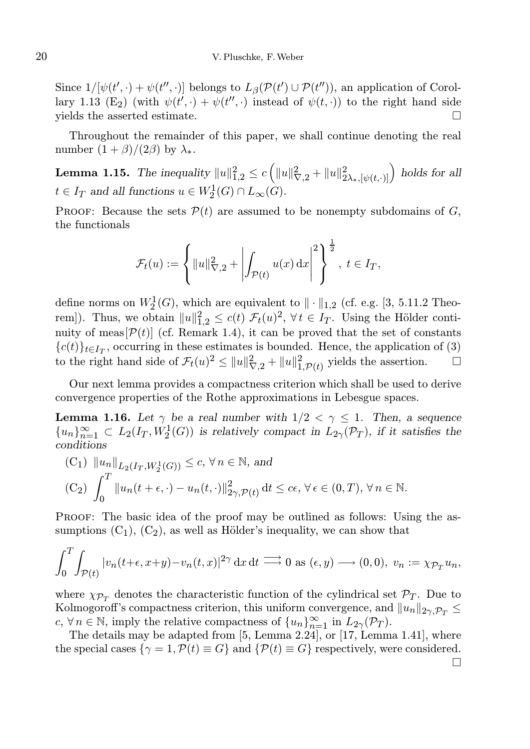Since  $1/[\psi(t', \cdot) + \psi(t'', \cdot)]$  belongs to  $L_\beta(\mathcal{P}(t') \cup \mathcal{P}(t''))$ , an application of Corollary 1.13 (E<sub>2</sub>) (with  $\psi(t', \cdot) + \psi(t'', \cdot)$  instead of  $\psi(t, \cdot)$ ) to the right hand side yields the asserted estimate.  $\Box$ 

Throughout the remainder of this paper, we shall continue denoting the real number  $(1 + \beta)/(2\beta)$  by  $\lambda_*$ .

**Lemma 1.15.** The inequality  $||u||_{1,2}^2 \le c \left( ||u||_{\nabla,2}^2 + ||u||_{2\lambda_*,[\psi(t,\cdot)]}^2 \right)$  holds for all  $t \in I_T$  and all functions  $u \in W_2^1(G) \cap L_\infty(G)$ .

PROOF: Because the sets  $\mathcal{P}(t)$  are assumed to be nonempty subdomains of G, the functionals

$$
\mathcal{F}_t(u) := \left\{ ||u||_{\nabla,2}^2 + \left| \int_{\mathcal{P}(t)} u(x) \,dx \right|^2 \right\}^{\frac{1}{2}}, \ t \in I_T,
$$

define norms on  $W_2^1(G)$ , which are equivalent to  $\|\cdot\|_{1,2}$  (cf. e.g. [3, 5.11.2 Theorem]). Thus, we obtain  $||u||_{1,2}^2 \leq c(t) \mathcal{F}_t(u)^2$ ,  $\forall t \in I_T$ . Using the Hölder continuity of meas  $[\mathcal{P}(t)]$  (cf. Remark 1.4), it can be proved that the set of constants  ${c(t)}_{t\in I_T}$ , occurring in these estimates is bounded. Hence, the application of (3) to the right hand side of  $\mathcal{F}_t(u)^2 \le ||u||^2_{\nabla,2} + ||u||^2_{1,\mathcal{P}(t)}$  yields the assertion.  $\square$ 

Our next lemma provides a compactness criterion which shall be used to derive convergence properties of the Rothe approximations in Lebesgue spaces.

**Lemma 1.16.** Let  $\gamma$  be a real number with  $1/2 < \gamma \leq 1$ . Then, a sequence  ${u_n}_{n=1}^{\infty} \subset L_2(I_T, W_2^1(G))$  is relatively compact in  $L_{2\gamma}(\mathcal{P}_T)$ , if it satisfies the conditions

(C<sub>1</sub>) 
$$
||u_n||_{L_2(I_T, W_2^1(G))} \le c, \forall n \in \mathbb{N}, \text{ and}
$$
  
\n(C<sub>2</sub>)  $\int_0^T ||u_n(t + \epsilon, \cdot) - u_n(t, \cdot)||_{2\gamma, \mathcal{P}(t)}^2 dt \le c\epsilon, \forall \epsilon \in (0, T), \forall n \in \mathbb{N}.$ 

Proof: The basic idea of the proof may be outlined as follows: Using the assumptions  $(C_1)$ ,  $(C_2)$ , as well as Hölder's inequality, we can show that

$$
\int_0^T \int_{\mathcal{P}(t)} |v_n(t+\epsilon, x+y)-v_n(t,x)|^{2\gamma} dx dt \longrightarrow 0 \text{ as } (\epsilon, y) \longrightarrow (0,0), \ v_n := \chi_{\mathcal{P}_T} u_n,
$$

where  $\chi_{\mathcal{P}_T}$  denotes the characteristic function of the cylindrical set  $\mathcal{P}_T$ . Due to Kolmogoroff's compactness criterion, this uniform convergence, and  $||u_n||_{2\gamma,\mathcal{P}_T} \leq$  $c, \forall n \in \mathbb{N}$ , imply the relative compactness of  $\{u_n\}_{n=1}^{\infty}$  in  $L_{2\gamma}(\mathcal{P}_T)$ .

The details may be adapted from [5, Lemma 2.24], or [17, Lemma 1.41], where the special cases  $\{\gamma = 1, P(t) \equiv G\}$  and  $\{\mathcal{P}(t) \equiv G\}$  respectively, were considered. П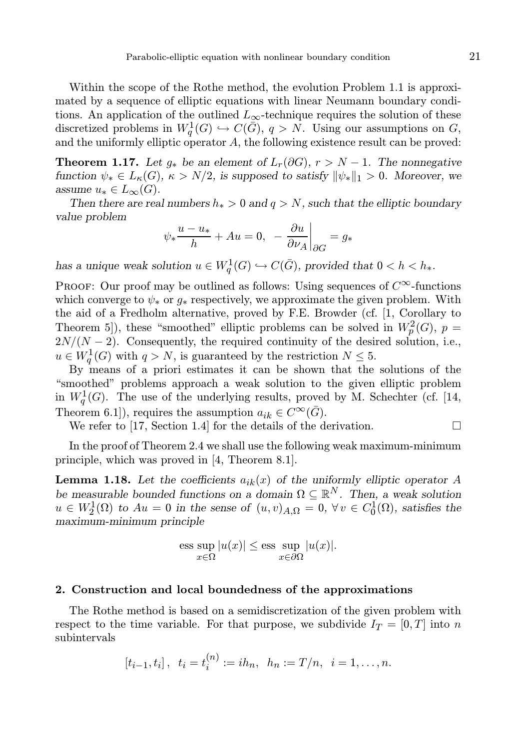Within the scope of the Rothe method, the evolution Problem 1.1 is approximated by a sequence of elliptic equations with linear Neumann boundary conditions. An application of the outlined  $L_{\infty}$ -technique requires the solution of these discretized problems in  $W_q^1(G) \hookrightarrow C(\overline{G}), q > N$ . Using our assumptions on G, and the uniformly elliptic operator A, the following existence result can be proved:

**Theorem 1.17.** Let  $g_*$  be an element of  $L_r(\partial G)$ ,  $r > N-1$ . The nonnegative function  $\psi_* \in L_{\kappa}(G)$ ,  $\kappa > N/2$ , is supposed to satisfy  $\|\psi_*\|_1 > 0$ . Moreover, we assume  $u_* \in L_\infty(G)$ .

Then there are real numbers  $h_* > 0$  and  $q > N$ , such that the elliptic boundary value problem

$$
\psi_* \frac{u - u_*}{h} + Au = 0, \quad -\frac{\partial u}{\partial \nu_A}\bigg|_{\partial G} = g_*
$$

has a unique weak solution  $u \in W_q^1(G) \hookrightarrow C(\overline{G})$ , provided that  $0 < h < h_*$ .

PROOF: Our proof may be outlined as follows: Using sequences of  $C^{\infty}$ -functions which converge to  $\psi_*$  or  $g_*$  respectively, we approximate the given problem. With the aid of a Fredholm alternative, proved by F.E. Browder (cf. [1, Corollary to Theorem 5]), these "smoothed" elliptic problems can be solved in  $W_p^2(G)$ ,  $p =$  $2N/(N-2)$ . Consequently, the required continuity of the desired solution, i.e.,  $u \in W_q^1(G)$  with  $q > N$ , is guaranteed by the restriction  $N \leq 5$ .

By means of a priori estimates it can be shown that the solutions of the "smoothed" problems approach a weak solution to the given elliptic problem in  $W_q^1(G)$ . The use of the underlying results, proved by M. Schechter (cf. [14, Theorem 6.1]), requires the assumption  $a_{ik} \in C^{\infty}(\overline{G})$ .

We refer to [17, Section 1.4] for the details of the derivation.  $\Box$ 

In the proof of Theorem 2.4 we shall use the following weak maximum-minimum principle, which was proved in [4, Theorem 8.1].

**Lemma 1.18.** Let the coefficients  $a_{ik}(x)$  of the uniformly elliptic operator A be measurable bounded functions on a domain  $\Omega \subseteq \mathbb{R}^N$ . Then, a weak solution  $u \in W_2^1(\Omega)$  to  $Au = 0$  in the sense of  $(u, v)_{A,\Omega} = 0$ ,  $\forall v \in C_0^1(\Omega)$ , satisfies the maximum-minimum principle

$$
\text{ess}\sup_{x\in\Omega}|u(x)| \le \text{ess}\sup_{x\in\partial\Omega}|u(x)|.
$$

## 2. Construction and local boundedness of the approximations

The Rothe method is based on a semidiscretization of the given problem with respect to the time variable. For that purpose, we subdivide  $I_T = [0, T]$  into n subintervals

$$
[t_{i-1}, t_i], t_i = t_i^{(n)} := ih_n, h_n := T/n, i = 1, ..., n.
$$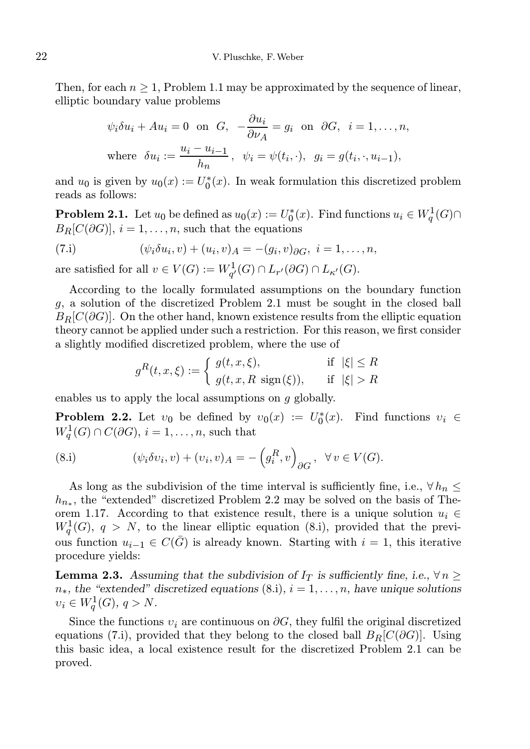Then, for each  $n \geq 1$ , Problem 1.1 may be approximated by the sequence of linear, elliptic boundary value problems

$$
\psi_i \delta u_i + Au_i = 0 \text{ on } G, \quad -\frac{\partial u_i}{\partial \nu_A} = g_i \text{ on } \partial G, \quad i = 1, \dots, n,
$$
  
where  $\delta u_i := \frac{u_i - u_{i-1}}{h_n}, \quad \psi_i = \psi(t_i, \cdot), \quad g_i = g(t_i, \cdot, u_{i-1}),$ 

and  $u_0$  is given by  $u_0(x) := U_0^*(x)$ . In weak formulation this discretized problem reads as follows:

**Problem 2.1.** Let  $u_0$  be defined as  $u_0(x) := U_0^*(x)$ . Find functions  $u_i \in W_q^1(G) \cap$  $B_R[C(\partial G)], i = 1, \ldots, n$ , such that the equations

(7.1) 
$$
(\psi_i \delta u_i, v) + (u_i, v)_A = -(g_i, v)_{\partial G}, \ i = 1, ..., n,
$$

are satisfied for all  $v \in V(G) := W_{q'}^1(G) \cap L_{r'}(\partial G) \cap L_{\kappa'}(G)$ .

According to the locally formulated assumptions on the boundary function g, a solution of the discretized Problem 2.1 must be sought in the closed ball  $B_R[C(\partial G)]$ . On the other hand, known existence results from the elliptic equation theory cannot be applied under such a restriction. For this reason, we first consider a slightly modified discretized problem, where the use of

$$
g^R(t, x, \xi) := \begin{cases} g(t, x, \xi), & \text{if } |\xi| \le R \\ g(t, x, R \text{ sign}(\xi)), & \text{if } |\xi| > R \end{cases}
$$

enables us to apply the local assumptions on g globally.

**Problem 2.2.** Let  $v_0$  be defined by  $v_0(x) := U_0^*(x)$ . Find functions  $v_i \in$  $W_q^1(G) \cap C(\partial G)$ ,  $i = 1, \ldots, n$ , such that

(8.i) 
$$
(\psi_i \delta v_i, v) + (v_i, v)_A = -\left(g_i^R, v\right)_{\partial G}, \ \forall v \in V(G).
$$

As long as the subdivision of the time interval is sufficiently fine, i.e.,  $\forall h_n \leq$  $h_{n*}$ , the "extended" discretized Problem 2.2 may be solved on the basis of Theorem 1.17. According to that existence result, there is a unique solution  $u_i \in$  $W_q^1(G)$ ,  $q > N$ , to the linear elliptic equation (8.i), provided that the previous function  $u_{i-1} \in C(\overline{G})$  is already known. Starting with  $i = 1$ , this iterative procedure yields:

**Lemma 2.3.** Assuming that the subdivision of  $I_T$  is sufficiently fine, i.e.,  $\forall n \geq 1$  $n<sub>*</sub>$ , the "extended" discretized equations (8.i),  $i = 1, ..., n$ , have unique solutions  $v_i \in W_q^1(G), q > N.$ 

Since the functions  $v_i$  are continuous on  $\partial G$ , they fulfil the original discretized equations (7.i), provided that they belong to the closed ball  $B_R[C(\partial G)]$ . Using this basic idea, a local existence result for the discretized Problem 2.1 can be proved.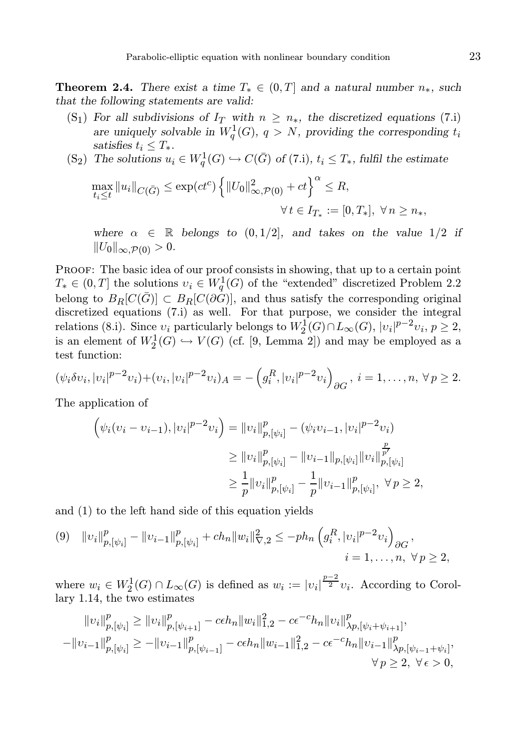**Theorem 2.4.** There exist a time  $T_* \in (0, T]$  and a natural number  $n_*$ , such that the following statements are valid:

- (S<sub>1</sub>) For all subdivisions of  $I_T$  with  $n \geq n_*$ , the discretized equations (7.i) are uniquely solvable in  $W_q^1(G)$ ,  $q > N$ , providing the corresponding  $t_i$ satisfies  $t_i \leq T_*$ .
- (S<sub>2</sub>) The solutions  $u_i \in W_q^1(G) \hookrightarrow C(\bar{G})$  of (7.i),  $t_i \leq T_*$ , fulfil the estimate

$$
\max_{t_i \le t} \|u_i\|_{C(\bar{G})} \le \exp(ct^c) \left\{ \|U_0\|_{\infty, \mathcal{P}(0)}^2 + ct \right\}^\alpha \le R,
$$
  

$$
\forall t \in I_{T_*} := [0, T_*], \ \forall n \ge n_*,
$$

where  $\alpha \in \mathbb{R}$  belongs to  $(0, 1/2]$ , and takes on the value  $1/2$  if  $||U_0||_{\infty,\mathcal{P}(0)} > 0.$ 

PROOF: The basic idea of our proof consists in showing, that up to a certain point  $T_* \in (0,T]$  the solutions  $v_i \in W_q^1(G)$  of the "extended" discretized Problem 2.2 belong to  $B_R[C(\bar{G})] \subset B_R[C(\partial G)]$ , and thus satisfy the corresponding original discretized equations (7.i) as well. For that purpose, we consider the integral relations (8.i). Since  $v_i$  particularly belongs to  $W_2^1(G) \cap L_\infty(G)$ ,  $|v_i|^{p-2}v_i$ ,  $p \ge 2$ , is an element of  $W_2^1(G) \hookrightarrow V(G)$  (cf. [9, Lemma 2]) and may be employed as a test function:

$$
(\psi_i \delta v_i, |v_i|^{p-2} v_i) + (v_i, |v_i|^{p-2} v_i)_A = -\left(g_i^R, |v_i|^{p-2} v_i\right)_{\partial G}, \ i = 1, \dots, n, \ \forall \ p \ge 2.
$$

The application of

$$
\begin{aligned} \left(\psi_i(\nu_i - \nu_{i-1}), |\nu_i|^{p-2} \nu_i\right) &= \|\nu_i\|_{p, [\psi_i]}^p - (\psi_i \nu_{i-1}, |\nu_i|^{p-2} \nu_i) \\ &\geq \|\nu_i\|_{p, [\psi_i]}^p - \|\nu_{i-1}\|_{p, [\psi_i]} \|\nu_i\|_{p, [\psi_i]}^p \\ &\geq \frac{1}{p} \|\nu_i\|_{p, [\psi_i]}^p - \frac{1}{p} \|\nu_{i-1}\|_{p, [\psi_i]}^p, \ \forall \, p \geq 2, \end{aligned}
$$

and (1) to the left hand side of this equation yields

$$
(9) \quad ||v_i||_{p,[\psi_i]}^p - ||v_{i-1}||_{p,[\psi_i]}^p + ch_n ||w_i||_{\nabla,2}^2 \le -ph_n \left( g_i^R, |v_i|^{p-2} v_i \right)_{\partial G},
$$
  

$$
i = 1, \dots, n, \ \forall p \ge 2,
$$

where  $w_i \in W_2^1(G) \cap L_\infty(G)$  is defined as  $w_i := |v_i|^{\frac{p-2}{2}} v_i$ . According to Corollary 1.14, the two estimates

$$
||v_i||_{p,[\psi_i]}^p \ge ||v_i||_{p,[\psi_{i+1}]}^p - c\epsilon h_n ||w_i||_{1,2}^2 - c\epsilon^{-c} h_n ||v_i||_{\lambda p,[\psi_i + \psi_{i+1}]}^p,
$$
  

$$
-||v_{i-1}||_{p,[\psi_i]}^p \ge -||v_{i-1}||_{p,[\psi_{i-1}]}^p - c\epsilon h_n ||w_{i-1}||_{1,2}^2 - c\epsilon^{-c} h_n ||v_{i-1}||_{\lambda p,[\psi_{i-1} + \psi_i]}^p,
$$
  

$$
\forall p \ge 2, \ \forall \epsilon > 0,
$$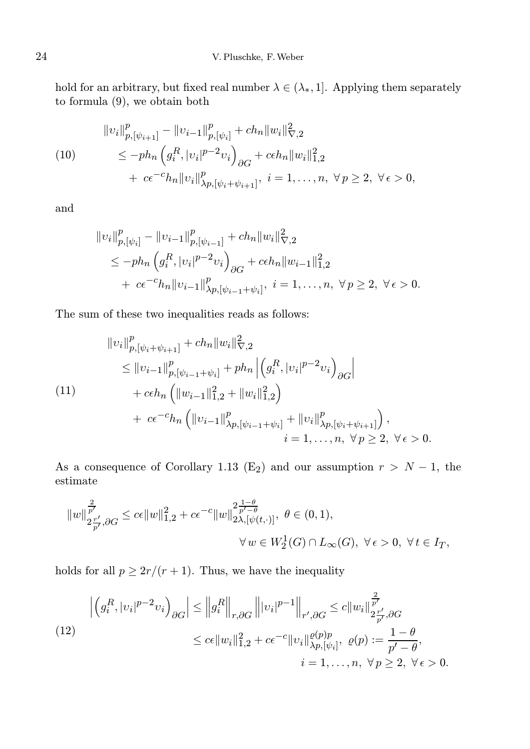hold for an arbitrary, but fixed real number  $\lambda \in (\lambda_*, 1]$ . Applying them separately to formula (9), we obtain both

$$
||v_i||_{p,[\psi_{i+1}]}^p - ||v_{i-1}||_{p,[\psi_i]}^p + ch_n ||w_i||_{\nabla,2}^2
$$
  
(10)  

$$
\leq -ph_n \left( g_i^R, |v_i|^{p-2} v_i \right)_{\partial G} + c\epsilon h_n ||w_i||_{1,2}^2
$$
  

$$
+ c\epsilon^{-c} h_n ||v_i||_{\lambda p,[\psi_i + \psi_{i+1}]}^p, \quad i = 1, ..., n, \forall p \geq 2, \forall \epsilon > 0,
$$

and

$$
\|v_i\|_{p,[\psi_i]}^p - \|v_{i-1}\|_{p,[\psi_{i-1}]}^p + ch_n \|w_i\|_{\nabla,2}^2
$$
  
\n
$$
\le -ph_n \left( g_i^R, |v_i|^{p-2} v_i \right)_{\partial G} + c\epsilon h_n \|w_{i-1}\|_{1,2}^2
$$
  
\n
$$
+ c\epsilon^{-c} h_n \|v_{i-1}\|_{\lambda p,[\psi_{i-1}+\psi_i]}^p, \quad i = 1, ..., n, \ \forall p \ge 2, \ \forall \epsilon > 0.
$$

The sum of these two inequalities reads as follows:

$$
\|v_{i}\|_{p,[\psi_{i}+\psi_{i+1}]}^{p} + ch_{n} \|w_{i}\|_{\nabla,2}^{2}
$$
\n
$$
\leq \|v_{i-1}\|_{p,[\psi_{i-1}+\psi_{i}]}^{p} + ph_{n} \left| \left(g_{i}^{R},|v_{i}|^{p-2}v_{i}\right)_{\partial G}\right|
$$
\n
$$
+ c\epsilon h_{n} \left( \|w_{i-1}\|_{1,2}^{2} + \|w_{i}\|_{1,2}^{2}\right)
$$
\n
$$
+ c\epsilon^{-c} h_{n} \left( \|v_{i-1}\|_{\lambda p,[\psi_{i-1}+\psi_{i}]}^{p} + \|v_{i}\|_{\lambda p,[\psi_{i}+\psi_{i+1}]}^{p}\right),
$$
\n
$$
i = 1, ..., n, \forall p \geq 2, \forall \epsilon > 0.
$$

As a consequence of Corollary 1.13 (E<sub>2</sub>) and our assumption  $r > N - 1$ , the estimate

$$
\begin{aligned}\|w\|_{2\frac{T'}{p'},\partial G}^{\frac{2}{p'}}\leq c\epsilon\|w\|_{1,2}^2+c\epsilon^{-c}\|w\|_{2\lambda,[\psi(t,\cdot)]}^{2\frac{1-\theta}{p'-\theta}},\ \theta\in(0,1),\\ \forall\,w\in W_2^1(G)\cap L_\infty(G),\ \forall\,\epsilon>0,\ \forall\,t\in I_T,\end{aligned}
$$

holds for all  $p \geq 2r/(r+1)$ . Thus, we have the inequality

$$
\left| \left( g_i^R, |v_i|^{p-2} v_i \right)_{\partial G} \right| \le \left\| g_i^R \right\|_{r, \partial G} \left\| |v_i|^{p-1} \right\|_{r', \partial G} \le c \|w_i\|_{2\frac{r'}{p'}, \partial G}^{\frac{2}{p'}}.
$$
\n
$$
\le c\epsilon \|w_i\|_{1,2}^2 + c\epsilon^{-c} \|v_i\|_{\lambda p, [\psi_i]}^{\varrho(p)} , \ \varrho(p) := \frac{1-\theta}{p'-\theta},
$$
\n
$$
i = 1, \dots, n, \ \forall \, p \ge 2, \ \forall \, \epsilon > 0.
$$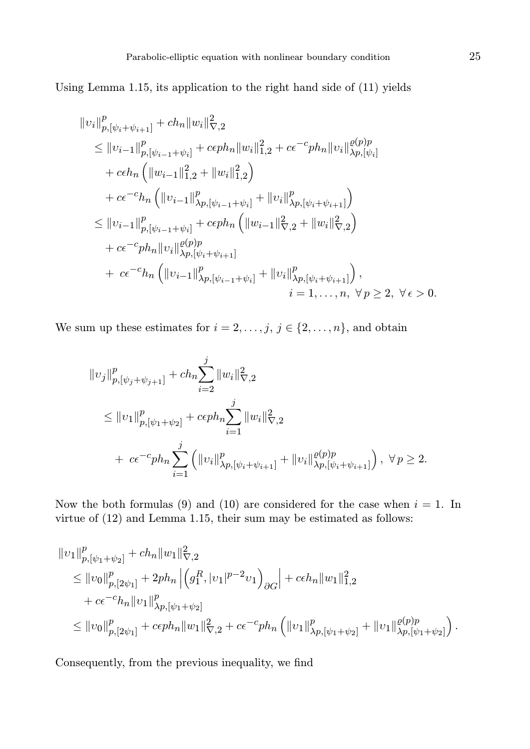Using Lemma 1.15, its application to the right hand side of (11) yields

$$
||v_i||_{p,[\psi_i+\psi_{i+1}]}^p + ch_n ||w_i||_{\nabla,2}^2
$$
  
\n
$$
\leq ||v_{i-1}||_{p,[\psi_{i-1}+\psi_i]}^p + c\epsilon ph_n ||w_i||_{1,2}^2 + c\epsilon^{-c} ph_n ||v_i||_{\lambda p,[\psi_i]}^{\rho(p)p}
$$
  
\n
$$
+ c\epsilon h_n \left( ||w_{i-1}||_{1,2}^2 + ||w_i||_{1,2}^2 \right)
$$
  
\n
$$
+ c\epsilon^{-c} h_n \left( ||v_{i-1}||_{\lambda p,[\psi_{i-1}+\psi_i]}^p + ||v_i||_{\lambda p,[\psi_i+\psi_{i+1}]}^p \right)
$$
  
\n
$$
\leq ||v_{i-1}||_{p,[\psi_{i-1}+\psi_i]}^p + c\epsilon ph_n \left( ||w_{i-1}||_{\nabla,2}^2 + ||w_i||_{\nabla,2}^2 \right)
$$
  
\n
$$
+ c\epsilon^{-c} ph_n ||v_i||_{\lambda p,[\psi_i+\psi_{i+1}]}^{\rho(p)p}
$$
  
\n
$$
+ c\epsilon^{-c} h_n \left( ||v_{i-1}||_{\lambda p,[\psi_{i-1}+\psi_i]}^p + ||v_i||_{\lambda p,[\psi_i+\psi_{i+1}]}^p \right),
$$
  
\n
$$
i = 1, ..., n, \forall p \geq 2, \forall \epsilon > 0.
$$

We sum up these estimates for  $i = 2, \ldots, j, j \in \{2, \ldots, n\}$ , and obtain

$$
\|v_j\|_{p, [\psi_j + \psi_{j+1}]}^p + ch_n \sum_{i=2}^j \|w_i\|_{\nabla, 2}^2
$$
  
\n
$$
\leq \|v_1\|_{p, [\psi_1 + \psi_2]}^p + c \epsilon p h_n \sum_{i=1}^j \|w_i\|_{\nabla, 2}^2
$$
  
\n
$$
+ c \epsilon^{-c} p h_n \sum_{i=1}^j \left( \|v_i\|_{\lambda p, [\psi_i + \psi_{i+1}]}^p + \|v_i\|_{\lambda p, [\psi_i + \psi_{i+1}]}^{\varrho(p)} \right), \ \forall \, p \geq 2.
$$

Now the both formulas (9) and (10) are considered for the case when  $i = 1$ . In virtue of (12) and Lemma 1.15, their sum may be estimated as follows:

$$
\label{eq:21} \begin{split} &\left\|v_1\right\|_{p,[\psi_1+\psi_2]}^p+ch_n\|w_1\|_{\nabla,2}^2\\ &\leq \|v_0\|_{p,[2\psi_1]}^p+2ph_n\left|\left(g_1^R,|v_1|^{p-2}v_1\right)_{\partial G}\right|+c\epsilon h_n\|w_1\|_{1,2}^2\\ &\quad +c\epsilon^{-c}h_n\|v_1\|_{\lambda p,[\psi_1+\psi_2]}^p\\ &\leq \|v_0\|_{p,[2\psi_1]}^p+c\epsilon ph_n\|w_1\|_{\nabla,2}^2+c\epsilon^{-c}ph_n\left(\|v_1\|_{\lambda p,[\psi_1+\psi_2]}^p+\|v_1\|_{\lambda p,[\psi_1+\psi_2]}^{ \varrho(p)}\right). \end{split}
$$

Consequently, from the previous inequality, we find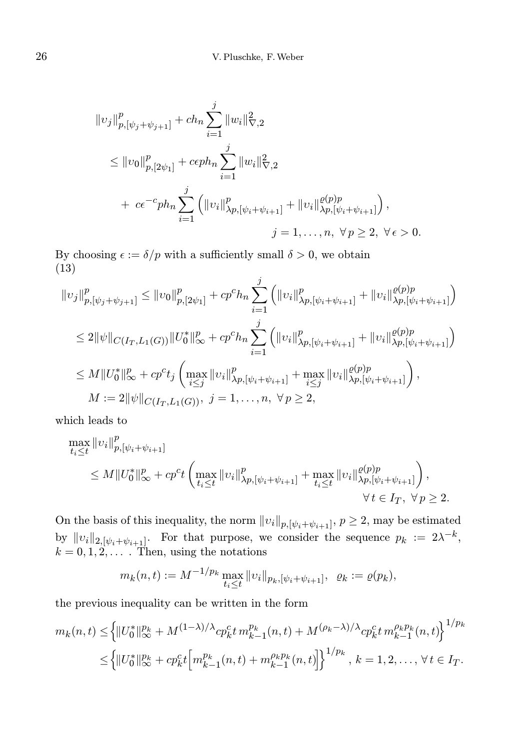$$
\|v_j\|_{p,[\psi_j+\psi_{j+1}]}^p + ch_n \sum_{i=1}^j \|w_i\|_{\nabla,2}^2
$$
  
\n
$$
\leq \|v_0\|_{p,[2\psi_1]}^p + c\epsilon p h_n \sum_{i=1}^j \|w_i\|_{\nabla,2}^2
$$
  
\n+  $c\epsilon^{-c} p h_n \sum_{i=1}^j \left( \|v_i\|_{\lambda p,[\psi_i+\psi_{i+1}]}^p + \|v_i\|_{\lambda p,[\psi_i+\psi_{i+1}]}^{e(p)p}\right),$   
\n $j = 1, ..., n, \forall p \geq 2, \forall \epsilon > 0.$ 

By choosing  $\epsilon := \delta/p$  with a sufficiently small  $\delta > 0$ , we obtain (13)

$$
||v_j||_{p,[\psi_j+\psi_{j+1}]}^p \le ||v_0||_{p,[2\psi_1]}^p + cp^c h_n \sum_{i=1}^j (||v_i||_{\lambda p,[\psi_i+\psi_{i+1}]}^p + ||v_i||_{\lambda p,[\psi_i+\psi_{i+1}]}^{o(p)p})
$$
  
\n
$$
\le 2||\psi||_{C(I_T,L_1(G))} ||U_0^*||_{\infty}^p + cp^c h_n \sum_{i=1}^j (||v_i||_{\lambda p,[\psi_i+\psi_{i+1}]}^p + ||v_i||_{\lambda p,[\psi_i+\psi_{i+1}]}^{o(p)p})
$$
  
\n
$$
\le M||U_0^*||_{\infty}^p + cp^c t_j \left( \max_{i \le j} ||v_i||_{\lambda p,[\psi_i+\psi_{i+1}]}^p + \max_{i \le j} ||v_i||_{\lambda p,[\psi_i+\psi_{i+1}]}^{o(p)p} \right),
$$
  
\n
$$
M := 2||\psi||_{C(I_T,L_1(G))}, \ j = 1, ..., n, \ \forall p \ge 2,
$$

which leads to

$$
\max_{t_i \le t} ||v_i||_{p,[\psi_i + \psi_{i+1}]}^p
$$
\n
$$
\le M ||U_0^*||_{\infty}^p + c p^{c} t \left( \max_{t_i \le t} ||v_i||_{\lambda p, [\psi_i + \psi_{i+1}]}^p + \max_{t_i \le t} ||v_i||_{\lambda p, [\psi_i + \psi_{i+1}]}^{q(p)p} \right),
$$
\n
$$
\forall t \in I_T, \ \forall p \ge 2.
$$

On the basis of this inequality, the norm  $||v_i||_{p,[\psi_i+\psi_{i+1}]}, p \ge 2$ , may be estimated by  $||v_i||_{2,[\psi_i+\psi_{i+1}]}$ . For that purpose, we consider the sequence  $p_k := 2\lambda^{-k}$ ,  $k = 0, 1, 2, \ldots$  Then, using the notations

$$
m_k(n,t) := M^{-1/p_k} \max_{t_i \le t} ||v_i||_{p_k, [\psi_i + \psi_{i+1}]}, \ \ \varrho_k := \varrho(p_k),
$$

the previous inequality can be written in the form

$$
m_k(n,t) \leq \left\{ \n\|U_0^*\|_{\infty}^{p_k} + M^{(1-\lambda)/\lambda} c p_k^c t \, m_{k-1}^{p_k}(n,t) + M^{(\rho_k - \lambda)/\lambda} c p_k^c t \, m_{k-1}^{\rho_k p_k}(n,t) \right\}^{1/p_k}
$$
\n
$$
\leq \left\{ \|U_0^*\|_{\infty}^{p_k} + c p_k^c t \left[ m_{k-1}^{p_k}(n,t) + m_{k-1}^{\rho_k p_k}(n,t) \right] \right\}^{1/p_k}, \, k = 1, 2, \dots, \forall t \in I_T.
$$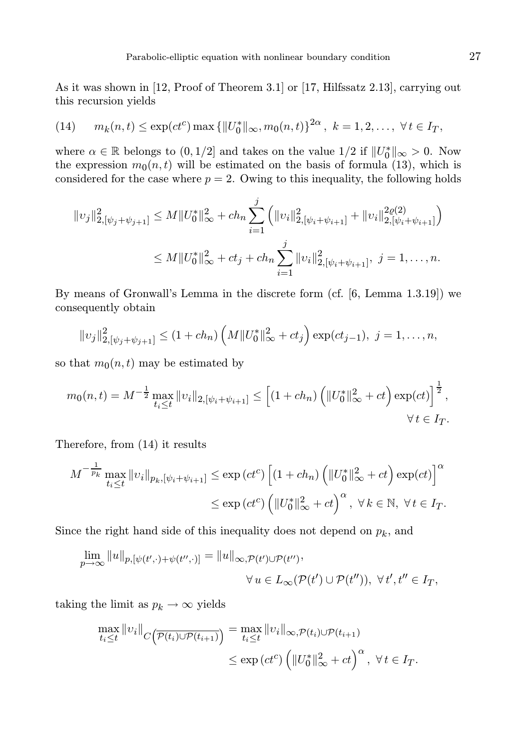As it was shown in [12, Proof of Theorem 3.1] or [17, Hilfssatz 2.13], carrying out this recursion yields

(14) 
$$
m_k(n,t) \le \exp(ct^c) \max \{ ||U_0^*||_{\infty}, m_0(n,t) \}^{2\alpha}, k = 1, 2, ..., \forall t \in I_T,
$$

where  $\alpha \in \mathbb{R}$  belongs to  $(0, 1/2]$  and takes on the value  $1/2$  if  $||U_0^*||_{\infty} > 0$ . Now the expression  $m_0(n, t)$  will be estimated on the basis of formula (13), which is considered for the case where  $p = 2$ . Owing to this inequality, the following holds

$$
||v_j||_{2,[\psi_j+\psi_{j+1}]}^2 \le M||U_0^*||_{\infty}^2 + ch_n \sum_{i=1}^j \left( ||v_i||_{2,[\psi_i+\psi_{i+1}]}^2 + ||v_i||_{2,[\psi_i+\psi_{i+1}]}^{2\varrho(2)} \right)
$$
  

$$
\le M||U_0^*||_{\infty}^2 + ct_j + ch_n \sum_{i=1}^j ||v_i||_{2,[\psi_i+\psi_{i+1}]}^2, \ j = 1, ..., n.
$$

By means of Gronwall's Lemma in the discrete form (cf. [6, Lemma 1.3.19]) we consequently obtain

$$
||v_j||_{2,[\psi_j+\psi_{j+1}]}^2 \leq (1+ch_n)\left(M||U_0^*||_{\infty}^2+ct_j\right) \exp(ct_{j-1}), \ j=1,\ldots,n,
$$

so that  $m_0(n, t)$  may be estimated by

$$
m_0(n,t) = M^{-\frac{1}{2}} \max_{t_i \le t} ||v_i||_{2,[\psi_i + \psi_{i+1}]} \le \left[ (1 + ch_n) \left( ||U_0^*||_{\infty}^2 + ct \right) \exp(ct) \right]^{\frac{1}{2}},
$$
  

$$
\forall t \in I_T.
$$

Therefore, from (14) it results

$$
M^{-\frac{1}{p_k}} \max_{t_i \le t} ||v_i||_{p_k, [\psi_i + \psi_{i+1}]} \le \exp\left(ct^c\right) \left[ (1 + ch_n) \left( ||U_0^*||_{\infty}^2 + ct \right) \exp(ct) \right]^{\alpha}
$$
  

$$
\le \exp\left(ct^c\right) \left( ||U_0^*||_{\infty}^2 + ct \right)^{\alpha}, \ \forall \, k \in \mathbb{N}, \ \forall \, t \in I_T.
$$

Since the right hand side of this inequality does not depend on  $p_k$ , and

$$
\lim_{p \to \infty} ||u||_{p,[\psi(t',\cdot)+\psi(t'',\cdot)]} = ||u||_{\infty,\mathcal{P}(t') \cup \mathcal{P}(t'')},
$$
  

$$
\forall u \in L_{\infty}(\mathcal{P}(t') \cup \mathcal{P}(t'')), \forall t', t'' \in I_T,
$$

taking the limit as  $p_k \to \infty$  yields

$$
\max_{t_i \leq t} ||v_i||_{C\left(\overline{\mathcal{P}(t_i) \cup \mathcal{P}(t_{i+1})}\right)} = \max_{t_i \leq t} ||v_i||_{\infty, \mathcal{P}(t_i) \cup \mathcal{P}(t_{i+1})}
$$
\n
$$
\leq \exp\left(ct^c\right) \left(||U_0^*||_{\infty}^2 + ct\right)^{\alpha}, \ \forall \, t \in I_T.
$$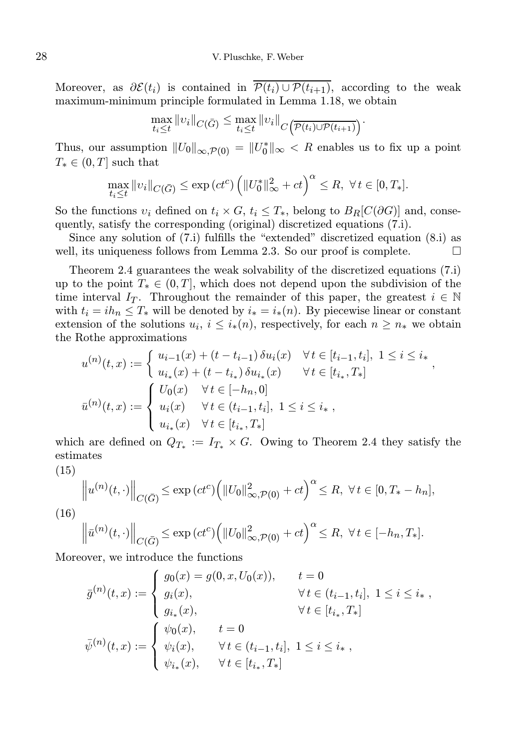Moreover, as  $\partial \mathcal{E}(t_i)$  is contained in  $\overline{\mathcal{P}(t_i) \cup \mathcal{P}(t_{i+1})}$ , according to the weak maximum-minimum principle formulated in Lemma 1.18, we obtain

$$
\max_{t_i \leq t} ||v_i||_{C(\bar{G})} \leq \max_{t_i \leq t} ||v_i||_{C(\overline{\mathcal{P}(t_i) \cup \mathcal{P}(t_{i+1})})}.
$$

Thus, our assumption  $||U_0||_{\infty, \mathcal{P}(0)} = ||U_0^*||_{\infty} < R$  enables us to fix up a point  $T_* \in (0, T]$  such that

$$
\max_{t_i \leq t} \|v_i\|_{C(\bar{G})} \leq \exp\left(ct^c\right) \left(\|U_0^*\|_{\infty}^2 + ct\right)^{\alpha} \leq R, \ \forall \, t \in [0, T_*].
$$

So the functions  $v_i$  defined on  $t_i \times G$ ,  $t_i \leq T_*$ , belong to  $B_R[C(\partial G)]$  and, consequently, satisfy the corresponding (original) discretized equations (7.i).

Since any solution of (7.i) fulfills the "extended" discretized equation (8.i) as well, its uniqueness follows from Lemma 2.3. So our proof is complete.  $\Box$ 

Theorem 2.4 guarantees the weak solvability of the discretized equations (7.i) up to the point  $T_* \in (0,T]$ , which does not depend upon the subdivision of the time interval I<sub>T</sub>. Throughout the remainder of this paper, the greatest  $i \in \mathbb{N}$ with  $t_i = ih_n \leq T_*$  will be denoted by  $i_* = i_*(n)$ . By piecewise linear or constant extension of the solutions  $u_i, i \leq i_*(n)$ , respectively, for each  $n \geq n_*$  we obtain the Rothe approximations

$$
u^{(n)}(t,x) := \begin{cases} u_{i-1}(x) + (t - t_{i-1}) \, \delta u_i(x) & \forall t \in [t_{i-1}, t_i], \ 1 \le i \le i_* \\ u_{i_*}(x) + (t - t_{i_*}) \, \delta u_{i_*}(x) & \forall t \in [t_{i_*}, T_*] \end{cases},
$$
  

$$
\bar{u}^{(n)}(t,x) := \begin{cases} U_0(x) & \forall t \in [-h_n, 0] \\ u_i(x) & \forall t \in (t_{i-1}, t_i], \ 1 \le i \le i_* \\ u_{i_*}(x) & \forall t \in [t_{i_*}, T_*] \end{cases}
$$

which are defined on  $Q_{T_*} := I_{T_*} \times G$ . Owing to Theorem 2.4 they satisfy the estimates

(15)

$$
\left\|u^{(n)}(t,\cdot)\right\|_{C(\bar{G})} \leq \exp\left(ct^c\right) \left(\|U_0\|_{\infty,\mathcal{P}(0)}^2 + ct\right)^\alpha \leq R, \ \forall \, t \in [0, T_* - h_n],
$$

(16)

$$
\left\|\bar{u}^{(n)}(t,\cdot)\right\|_{C(\bar{G})} \leq \exp\left(ct^c\right) \left(\|U_0\|_{\infty,\mathcal{P}(0)}^2 + ct\right)^\alpha \leq R, \ \forall \, t \in [-h_n, T_*].
$$

Moreover, we introduce the functions

$$
\bar{g}^{(n)}(t,x) := \begin{cases}\ng_0(x) = g(0, x, U_0(x)), & t = 0 \\
g_i(x), & \forall t \in (t_{i-1}, t_i], \ 1 \le i \le i_*\n\end{cases},
$$
\n
$$
\bar{\psi}^{(n)}(t,x) := \begin{cases}\n\psi_0(x), & t = 0 \\
\psi_i(x), & \forall t \in (t_{i-1}, t_i], \ 1 \le i \le i_*\n\end{cases},
$$
\n
$$
\bar{\psi}^{(n)}(t,x) := \begin{cases}\n\psi_0(x), & t = 0 \\
\psi_i(x), & \forall t \in (t_{i-1}, t_i], \ 1 \le i \le i_*\n\end{cases}
$$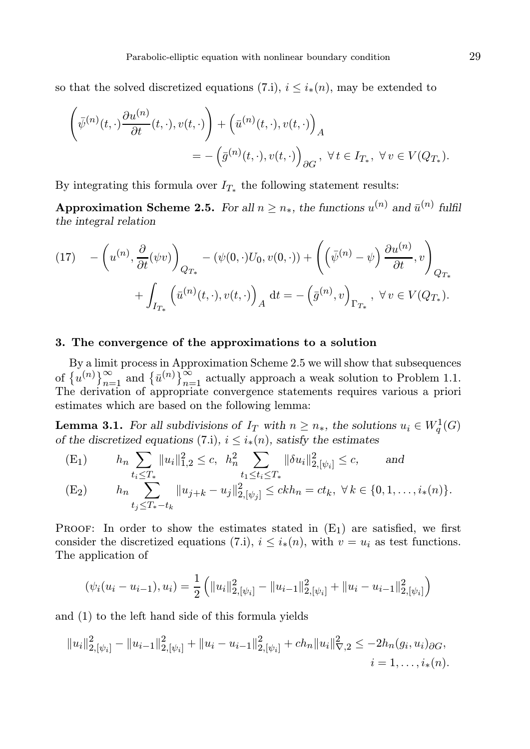so that the solved discretized equations (7.i),  $i \leq i_*(n)$ , may be extended to

$$
\left(\bar{\psi}^{(n)}(t,\cdot)\frac{\partial u^{(n)}}{\partial t}(t,\cdot),v(t,\cdot)\right) + \left(\bar{u}^{(n)}(t,\cdot),v(t,\cdot)\right)_A
$$
  
= 
$$
-\left(\bar{g}^{(n)}(t,\cdot),v(t,\cdot)\right)_{\partial G}, \ \forall t \in I_{T_*}, \ \forall v \in V(Q_{T_*}).
$$

By integrating this formula over  $I_{T_*}$  the following statement results:

Approximation Scheme 2.5. For all  $n \geq n_*$ , the functions  $u^{(n)}$  and  $\bar{u}^{(n)}$  fulfil the integral relation

$$
(17) \quad -\left(u^{(n)}, \frac{\partial}{\partial t}(\psi v)\right)_{Q_{T_*}} - (\psi(0, \cdot)U_0, v(0, \cdot)) + \left(\left(\bar{\psi}^{(n)} - \psi\right) \frac{\partial u^{(n)}}{\partial t}, v\right)_{Q_{T_*}} + \int_{I_{T_*}} \left(\bar{u}^{(n)}(t, \cdot), v(t, \cdot)\right)_A dt = -\left(\bar{g}^{(n)}, v\right)_{\Gamma_{T_*}}, \ \forall v \in V(Q_{T_*}).
$$

## 3. The convergence of the approximations to a solution

By a limit process in Approximation Scheme 2.5 we will show that subsequences of  $\{u^{(n)}\}_{n=1}^{\infty}$  and  $\{\bar{u}^{(n)}\}_{n=1}^{\infty}$  actually approach a weak solution to Problem 1.1. The derivation of appropriate convergence statements requires various a priori estimates which are based on the following lemma:

**Lemma 3.1.** For all subdivisions of  $I_T$  with  $n \geq n_*$ , the solutions  $u_i \in W_q^1(G)$ of the discretized equations (7.i),  $i \leq i_*(n)$ , satisfy the estimates

(E<sub>1</sub>) 
$$
h_n \sum_{t_i \leq T_*} ||u_i||_{1,2}^2 \leq c, \quad h_n^2 \sum_{t_1 \leq t_i \leq T_*} ||\delta u_i||_{2,[\psi_i]}^2 \leq c, \quad \text{and}
$$
  
\n(E<sub>2</sub>)  $h_n \sum_{t_j \leq T_* - t_k} ||u_{j+k} - u_j||_{2,[\psi_j]}^2 \leq ckh_n = ct_k, \quad \forall k \in \{0, 1, ..., i_*(n)\}.$ 

**PROOF:** In order to show the estimates stated in  $(E_1)$  are satisfied, we first consider the discretized equations (7.i),  $i \leq i_*(n)$ , with  $v = u_i$  as test functions. The application of

$$
(\psi_i(u_i - u_{i-1}), u_i) = \frac{1}{2} \left( \|u_i\|_{2, [\psi_i]}^2 - \|u_{i-1}\|_{2, [\psi_i]}^2 + \|u_i - u_{i-1}\|_{2, [\psi_i]}^2 \right)
$$

and (1) to the left hand side of this formula yields

$$
||u_i||_{2,[\psi_i]}^2 - ||u_{i-1}||_{2,[\psi_i]}^2 + ||u_i - u_{i-1}||_{2,[\psi_i]}^2 + ch_n ||u_i||_{\nabla,2}^2 \leq -2h_n(g_i, u_i)_{\partial G},
$$
  
 $i = 1, \ldots, i_*(n).$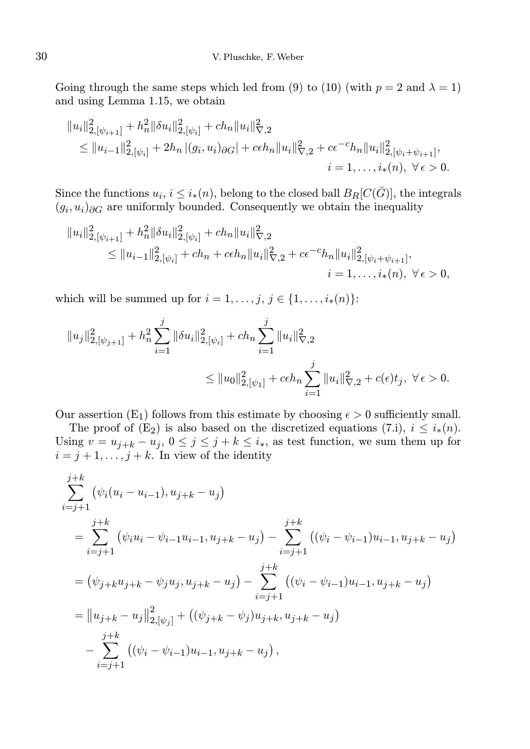Going through the same steps which led from (9) to (10) (with  $p = 2$  and  $\lambda = 1$ ) and using Lemma 1.15, we obtain

$$
||u_i||_{2,[\psi_{i+1}]}^2 + h_n^2 ||\delta u_i||_{2,[\psi_i]}^2 + ch_n ||u_i||_{\nabla,2}^2
$$
  
\n
$$
\leq ||u_{i-1}||_{2,[\psi_i]}^2 + 2h_n |(g_i, u_i)_{\partial G}| + c\epsilon h_n ||u_i||_{\nabla,2}^2 + c\epsilon^{-c} h_n ||u_i||_{2,[\psi_i + \psi_{i+1}]}^2,
$$
  
\n
$$
i = 1, ..., i_*(n), \ \forall \epsilon > 0.
$$

Since the functions  $u_i, i \leq i_*(n)$ , belong to the closed ball  $B_R[C(\bar{G})]$ , the integrals  $(g_i, u_i)_{\partial G}$  are uniformly bounded. Consequently we obtain the inequality

$$
||u_i||_{2,[\psi_{i+1}]}^2 + h_n^2 ||\delta u_i||_{2,[\psi_i]}^2 + ch_n ||u_i||_{\nabla,2}^2
$$
  
\n
$$
\leq ||u_{i-1}||_{2,[\psi_i]}^2 + ch_n + c\epsilon h_n ||u_i||_{\nabla,2}^2 + c\epsilon^{-c} h_n ||u_i||_{2,[\psi_i + \psi_{i+1}]}^2,
$$
  
\n
$$
i = 1, ..., i_*(n), \ \forall \epsilon > 0,
$$

which will be summed up for  $i = 1, \ldots, j, j \in \{1, \ldots, i_*(n)\}$ :

$$
||u_j||_{2,[\psi_{j+1}]}^2 + h_n^2 \sum_{i=1}^j ||\delta u_i||_{2,[\psi_i]}^2 + ch_n \sum_{i=1}^j ||u_i||_{\nabla,2}^2
$$
  

$$
\leq ||u_0||_{2,[\psi_1]}^2 + c\epsilon h_n \sum_{i=1}^j ||u_i||_{\nabla,2}^2 + c(\epsilon)t_j, \ \forall \epsilon > 0.
$$

Our assertion  $(E_1)$  follows from this estimate by choosing  $\epsilon > 0$  sufficiently small.

The proof of  $(E_2)$  is also based on the discretized equations (7.i),  $i \leq i_*(n)$ . Using  $v = u_{j+k} - u_j$ ,  $0 \le j \le j+k \le i_*$ , as test function, we sum them up for  $i = j + 1, \ldots, j + k$ . In view of the identity

$$
\sum_{i=j+1}^{j+k} (\psi_i(u_i - u_{i-1}), u_{j+k} - u_j)
$$
\n
$$
= \sum_{i=j+1}^{j+k} (\psi_i u_i - \psi_{i-1} u_{i-1}, u_{j+k} - u_j) - \sum_{i=j+1}^{j+k} ((\psi_i - \psi_{i-1}) u_{i-1}, u_{j+k} - u_j)
$$
\n
$$
= (\psi_{j+k} u_{j+k} - \psi_j u_j, u_{j+k} - u_j) - \sum_{i=j+1}^{j+k} ((\psi_i - \psi_{i-1}) u_{i-1}, u_{j+k} - u_j)
$$
\n
$$
= ||u_{j+k} - u_j||_{2,[\psi_j]}^2 + ((\psi_{j+k} - \psi_j) u_{j+k}, u_{j+k} - u_j)
$$
\n
$$
- \sum_{i=j+1}^{j+k} ((\psi_i - \psi_{i-1}) u_{i-1}, u_{j+k} - u_j),
$$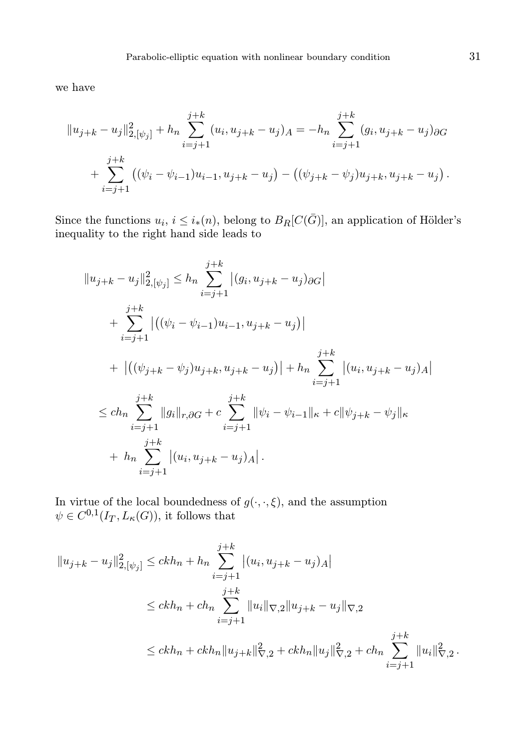we have

$$
||u_{j+k} - u_j||_{2,[\psi_j]}^2 + h_n \sum_{i=j+1}^{j+k} (u_i, u_{j+k} - u_j)_A = -h_n \sum_{i=j+1}^{j+k} (g_i, u_{j+k} - u_j)_{\partial G} + \sum_{i=j+1}^{j+k} ((\psi_i - \psi_{i-1})u_{i-1}, u_{j+k} - u_j) - ((\psi_{j+k} - \psi_j)u_{j+k}, u_{j+k} - u_j).
$$

Since the functions  $u_i, i \leq i_*(n)$ , belong to  $B_R[C(\bar{G})]$ , an application of Hölder's inequality to the right hand side leads to

$$
||u_{j+k} - u_j||_{2,[\psi_j]}^2 \leq h_n \sum_{i=j+1}^{j+k} |(g_i, u_{j+k} - u_j)_{\partial G}|
$$
  
+ 
$$
\sum_{i=j+1}^{j+k} |((\psi_i - \psi_{i-1})u_{i-1}, u_{j+k} - u_j)|
$$
  
+ 
$$
|((\psi_{j+k} - \psi_j)u_{j+k}, u_{j+k} - u_j)| + h_n \sum_{i=j+1}^{j+k} |(u_i, u_{j+k} - u_j)_{A}|
$$
  

$$
\leq ch_n \sum_{i=j+1}^{j+k} ||g_i||_{r,\partial G} + c \sum_{i=j+1}^{j+k} ||\psi_i - \psi_{i-1}||_{\kappa} + c ||\psi_{j+k} - \psi_j||_{\kappa}
$$
  
+ 
$$
h_n \sum_{i=j+1}^{j+k} |(u_i, u_{j+k} - u_j)_{A}|.
$$

In virtue of the local boundedness of  $g(\cdot,\cdot,\xi)$ , and the assumption  $\psi \in C^{0,1}(I_T, L_{\kappa}(G))$ , it follows that

$$
||u_{j+k} - u_j||_{2,[\psi_j]}^2 \le ckh_n + h_n \sum_{i=j+1}^{j+k} |(u_i, u_{j+k} - u_j)_A|
$$
  

$$
\le ckh_n + ch_n \sum_{i=j+1}^{j+k} ||u_i||_{\nabla,2} ||u_{j+k} - u_j||_{\nabla,2}
$$
  

$$
\le ch_n + ckh_n ||u_{j+k}||_{\nabla,2}^2 + ckh_n ||u_j||_{\nabla,2}^2 + ch_n \sum_{i=j+1}^{j+k} ||u_i||_{\nabla,2}^2.
$$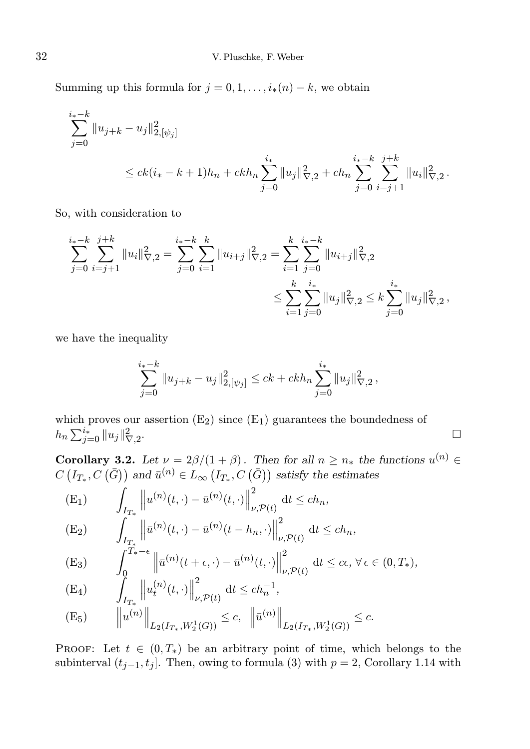Summing up this formula for  $j = 0, 1, \ldots, i_*(n) - k$ , we obtain

$$
\sum_{j=0}^{i_{*}-k} \|u_{j+k} - u_{j}\|_{2, [\psi_{j}]}^{2}
$$
\n
$$
\leq c k (i_{*}-k+1)h_{n} + c k h_{n} \sum_{j=0}^{i_{*}} \|u_{j}\|_{\nabla, 2}^{2} + c h_{n} \sum_{j=0}^{i_{*}-k} \sum_{i=j+1}^{j+k} \|u_{i}\|_{\nabla, 2}^{2}.
$$

So, with consideration to

$$
\sum_{j=0}^{i_{*}-k} \sum_{i=j+1}^{j+k} \|u_{i}\|_{\nabla,2}^{2} = \sum_{j=0}^{i_{*}-k} \sum_{i=1}^{k} \|u_{i+j}\|_{\nabla,2}^{2} = \sum_{i=1}^{k} \sum_{j=0}^{i_{*}-k} \|u_{i+j}\|_{\nabla,2}^{2}
$$
  

$$
\leq \sum_{i=1}^{k} \sum_{j=0}^{i_{*}} \|u_{j}\|_{\nabla,2}^{2} \leq k \sum_{j=0}^{i_{*}} \|u_{j}\|_{\nabla,2}^{2},
$$

we have the inequality

$$
\sum_{j=0}^{i_*-k} \|u_{j+k} - u_j\|_{2,[\psi_j]}^2 \le ck + ckh_n \sum_{j=0}^{i_*} \|u_j\|_{\nabla,2}^2,
$$

which proves our assertion  $(E_2)$  since  $(E_1)$  guarantees the boundedness of  $h_n \sum_{j=0}^{i_*} \|u_j\|_{\nabla,2}^2$ .

**Corollary 3.2.** Let  $\nu = 2\beta/(1+\beta)$ . Then for all  $n \geq n_*$  the functions  $u^{(n)} \in$  $C(I_{T_*}, C(\bar{G}))$  and  $\bar{u}^{(n)} \in L_{\infty} (I_{T_*}, C(\bar{G}))$  satisfy the estimates

(E<sub>1</sub>) 
$$
\int_{I_{T_*}} \left\| u^{(n)}(t, \cdot) - \bar{u}^{(n)}(t, \cdot) \right\|_{\nu, \mathcal{P}(t)}^2 dt \leq ch_n,
$$
  
\n(E<sub>2</sub>) 
$$
\int_{I_{T_*}} \left\| \bar{u}^{(n)}(t, \cdot) - \bar{u}^{(n)}(t - h_n, \cdot) \right\|_{\nu, \mathcal{P}(t)}^2 dt \leq ch_n,
$$

(E<sub>3</sub>) 
$$
\int_0^{\widetilde{T}_*-\epsilon} \left\| \bar{u}^{(n)}(t+\epsilon,\cdot) - \bar{u}^{(n)}(t,\cdot) \right\|_{\nu,\mathcal{P}(t)}^2 dt \leq c\epsilon, \forall \epsilon \in (0,T_*),
$$

(E<sub>4</sub>) 
$$
\int_{I_{T_*}} \left\| u_t^{(n)}(t, \cdot) \right\|_{\nu, \mathcal{P}(t)}^2 dt \leq ch_n^{-1},
$$
  
\n(E<sub>5</sub>) 
$$
\left\| u^{(n)} \right\|_{L_2(I_{T_*}, W_2^1(G))} \leq c, \left\| \bar{u}^{(n)} \right\|_{L_2(I_{T_*}, W_2^1(G))} \leq c.
$$

PROOF: Let  $t \in (0, T_*)$  be an arbitrary point of time, which belongs to the subinterval  $(t_{j-1}, t_j]$ . Then, owing to formula (3) with  $p = 2$ , Corollary 1.14 with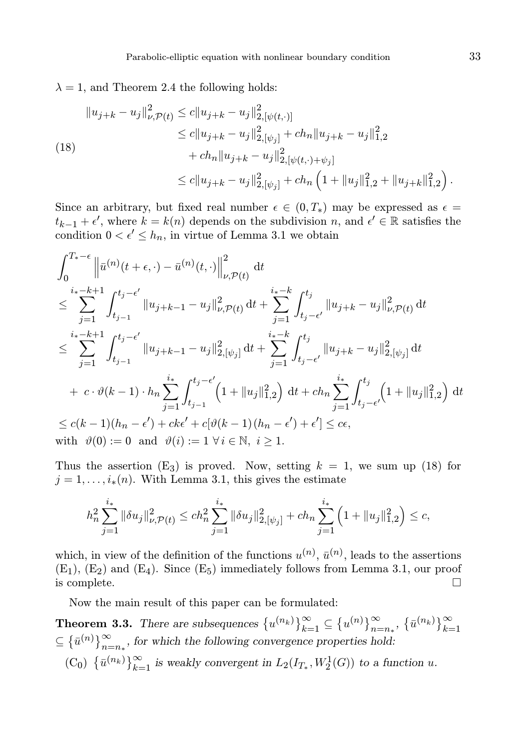$\lambda = 1$ , and Theorem 2.4 the following holds:

$$
||u_{j+k} - u_j||_{\nu,\mathcal{P}(t)}^2 \le c||u_{j+k} - u_j||_{2,[\psi(t,\cdot)]}^2
$$
  
\n
$$
\le c||u_{j+k} - u_j||_{2,[\psi_j]}^2 + ch_n||u_{j+k} - u_j||_{1,2}^2
$$
  
\n(18)  
\n
$$
+ ch_n||u_{j+k} - u_j||_{2,[\psi(t,\cdot)+\psi_j]}^2
$$
  
\n
$$
\le c||u_{j+k} - u_j||_{2,[\psi_j]}^2 + ch_n\left(1 + ||u_j||_{1,2}^2 + ||u_{j+k}||_{1,2}^2\right).
$$

Since an arbitrary, but fixed real number  $\epsilon \in (0, T_*)$  may be expressed as  $\epsilon =$  $t_{k-1} + \epsilon'$ , where  $k = k(n)$  depends on the subdivision n, and  $\epsilon' \in \mathbb{R}$  satisfies the condition  $0 < \epsilon' \leq h_n$ , in virtue of Lemma 3.1 we obtain

$$
\int_{0}^{T_{*}-\epsilon} \left\| \bar{u}^{(n)}(t+\epsilon, \cdot) - \bar{u}^{(n)}(t, \cdot) \right\|_{\nu, \mathcal{P}(t)}^{2} dt
$$
\n
$$
\leq \sum_{j=1}^{i_{*}-k+1} \int_{t_{j-1}}^{t_{j}-\epsilon'} \|u_{j+k-1} - u_{j}\|_{\nu, \mathcal{P}(t)}^{2} dt + \sum_{j=1}^{i_{*}-k} \int_{t_{j}-\epsilon'}^{t_{j}} \|u_{j+k} - u_{j}\|_{\nu, \mathcal{P}(t)}^{2} dt
$$
\n
$$
\leq \sum_{j=1}^{i_{*}-k+1} \int_{t_{j-1}}^{t_{j}-\epsilon'} \|u_{j+k-1} - u_{j}\|_{2,[\psi_{j}]}^{2} dt + \sum_{j=1}^{i_{*}-k} \int_{t_{j}-\epsilon'}^{t_{j}} \|u_{j+k} - u_{j}\|_{2,[\psi_{j}]}^{2} dt
$$
\n
$$
+ c \cdot \vartheta(k-1) \cdot h_{n} \sum_{j=1}^{i_{*}} \int_{t_{j-1}}^{t_{j}-\epsilon'} \left(1 + \|u_{j}\|_{1,2}^{2}\right) dt + ch_{n} \sum_{j=1}^{i_{*}} \int_{t_{j}-\epsilon'}^{t_{j}} \left(1 + \|u_{j}\|_{1,2}^{2}\right) dt
$$
\n
$$
\leq c(k-1)(h_{n}-\epsilon') + ck\epsilon' + c[\vartheta(k-1)(h_{n}-\epsilon') + \epsilon'] \leq c\epsilon,
$$
\nwith  $\vartheta(0) := 0$  and  $\vartheta(i) := 1 \forall i \in \mathbb{N}, i \geq 1$ .

Thus the assertion  $(E_3)$  is proved. Now, setting  $k = 1$ , we sum up (18) for  $j = 1, \ldots, i_*(n)$ . With Lemma 3.1, this gives the estimate

$$
h_n^2 \sum_{j=1}^{i_*} \|\delta u_j\|_{\nu, \mathcal{P}(t)}^2 \le c h_n^2 \sum_{j=1}^{i_*} \|\delta u_j\|_{2, [\psi_j]}^2 + c h_n \sum_{j=1}^{i_*} \left(1 + \|u_j\|_{1,2}^2\right) \le c,
$$

which, in view of the definition of the functions  $u^{(n)}$ ,  $\bar{u}^{(n)}$ , leads to the assertions  $(E_1)$ ,  $(E_2)$  and  $(E_4)$ . Since  $(E_5)$  immediately follows from Lemma 3.1, our proof is complete. is complete.

Now the main result of this paper can be formulated:

**Theorem 3.3.** There are subsequences  $\{u^{(n_k)}\}_{k=1}^{\infty} \subseteq \{u^{(n)}\}_{n=n_*}^{\infty}$ ,  $\{\bar{u}^{(n_k)}\}_{k=1}^{\infty}$  $\subseteq \{ \bar{u}^{(n)} \}_{n=n_*}^{\infty}$ , for which the following convergence properties hold: (C<sub>0</sub>)  $\{\bar{u}^{(n_k)}\}_{k=1}^{\infty}$  is weakly convergent in  $L_2(I_{T_*}, W_2^1(G))$  to a function u.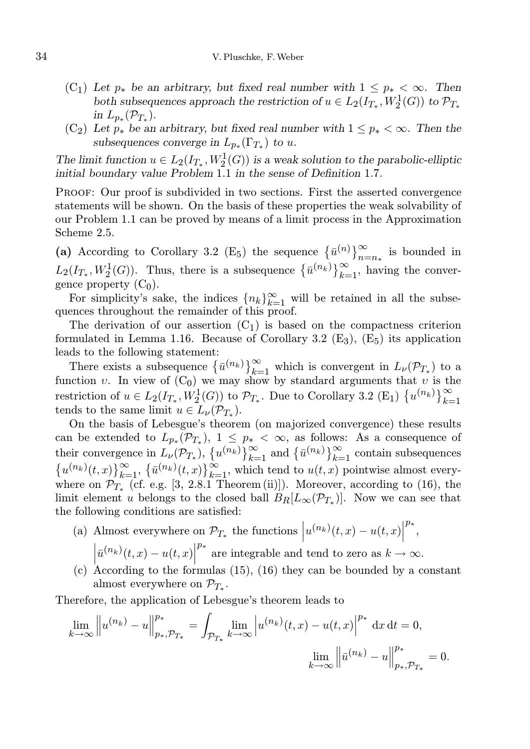- (C<sub>1</sub>) Let  $p_*$  be an arbitrary, but fixed real number with  $1 \leq p_* < \infty$ . Then both subsequences approach the restriction of  $u \in L_2(I_{T_*}, W_2^1(G))$  to  $\mathcal{P}_{T_*}$ in  $L_{p_*}(\mathcal{P}_{T_*}).$
- (C<sub>2</sub>) Let  $p_*$  be an arbitrary, but fixed real number with  $1 \leq p_* < \infty$ . Then the subsequences converge in  $L_{p_*}(\Gamma_{T_*})$  to u.

The limit function  $u \in L_2(I_{T_*}, W_2^1(G))$  is a weak solution to the parabolic-elliptic initial boundary value Problem 1.1 in the sense of Definition 1.7.

Proof: Our proof is subdivided in two sections. First the asserted convergence statements will be shown. On the basis of these properties the weak solvability of our Problem 1.1 can be proved by means of a limit process in the Approximation Scheme 2.5.

(a) According to Corollary 3.2 (E<sub>5</sub>) the sequence  ${\overline{u}}^{(n)}\}_{n=n_*}^{\infty}$  is bounded in  $L_2(I_{T_*}, W_2^1(G))$ . Thus, there is a subsequence  $\{\bar{u}^{(n_k)}\}_{k=1}^{\infty}$ , having the convergence property  $(C_0)$ .

For simplicity's sake, the indices  ${n_k}_{k=1}^{\infty}$  will be retained in all the subsequences throughout the remainder of this proof.

The derivation of our assertion  $(C_1)$  is based on the compactness criterion formulated in Lemma 1.16. Because of Corollary 3.2  $(E_3)$ ,  $(E_5)$  its application leads to the following statement:

There exists a subsequence  $\{\bar{u}^{(n_k)}\}_{k=1}^{\infty}$  which is convergent in  $L_{\nu}(\mathcal{P}_{T_*})$  to a function v. In view of  $(C_0)$  we may show by standard arguments that v is the restriction of  $u \in L_2(I_{T_*}, W_2^1(G))$  to  $\mathcal{P}_{T_*}$ . Due to Corollary 3.2 (E<sub>1</sub>)  $\{u^{(n_k)}\}_{k=1}^{\infty}$ tends to the same limit  $u \in L_{\nu}(\mathcal{P}_{T_*}).$ 

On the basis of Lebesgue's theorem (on majorized convergence) these results can be extended to  $L_{p_*}(\mathcal{P}_{T_*}), 1 \leq p_* < \infty$ , as follows: As a consequence of their convergence in  $L_{\nu}(\mathcal{P}_{T_*}), \{u^{(n_k)}\}_{k=1}^{\infty}$  and  $\{\bar{u}^{(n_k)}\}_{k=1}^{\infty}$  contain subsequences  $\{u^{(n_k)}(t,x)\}_{k=1}^{\infty}$ ,  $\{\bar{u}^{(n_k)}(t,x)\}_{k=1}^{\infty}$ , which tend to  $u(t,x)$  pointwise almost everywhere on  $\mathcal{P}_{T_*}$  (cf. e.g. [3, 2.8.1 Theorem (ii)]). Moreover, according to (16), the limit element u belongs to the closed ball  $B_R[L_\infty(\mathcal{P}_{T_*})]$ . Now we can see that the following conditions are satisfied:

- (a) Almost everywhere on  $\mathcal{P}_{T_*}$  the functions  $|u^{(n_k)}(t,x) u(t,x)|$  $\left|\bar{u}^{(n_k)}(t,x) - u(t,x)\right|^{p_*}$  are integrable and tend to zero as  $k \to$ p∗ ,  $p^*$  are integrable and tend to zero as  $k \to \infty$ .
- (c) According to the formulas (15), (16) they can be bounded by a constant almost everywhere on  $\mathcal{P}_{T_*}.$

Therefore, the application of Lebesgue's theorem leads to

$$
\lim_{k \to \infty} \left\| u^{(n_k)} - u \right\|_{p_*, \mathcal{P}_{T_*}}^{p_*} = \int_{\mathcal{P}_{T_*}} \lim_{k \to \infty} \left| u^{(n_k)}(t, x) - u(t, x) \right|^{p_*} dx dt = 0,
$$
  

$$
\lim_{k \to \infty} \left\| \bar{u}^{(n_k)} - u \right\|_{p_*, \mathcal{P}_{T_*}}^{p_*} = 0.
$$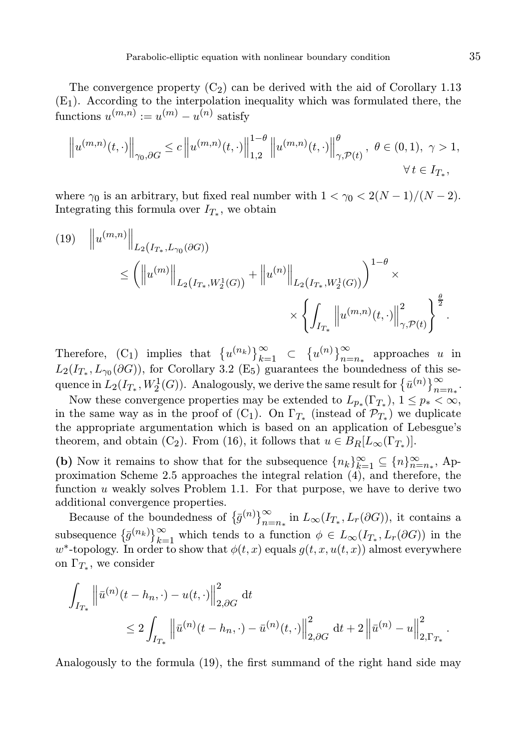The convergence property  $(C_2)$  can be derived with the aid of Corollary 1.13  $(E_1)$ . According to the interpolation inequality which was formulated there, the functions  $u^{(m,n)} := u^{(m)} - u^{(n)}$  satisfy

$$
\left\|u^{(m,n)}(t,\cdot)\right\|_{\gamma_0,\partial G} \le c\left\|u^{(m,n)}(t,\cdot)\right\|_{1,2}^{1-\theta}\left\|u^{(m,n)}(t,\cdot)\right\|_{\gamma,\mathcal{P}(t)}^{\theta},\ \theta\in(0,1),\ \gamma>1,\forall\ t\in I_{T_*},
$$

where  $\gamma_0$  is an arbitrary, but fixed real number with  $1 < \gamma_0 < 2(N-1)/(N-2)$ . Integrating this formula over  $I_{T_*}$ , we obtain

(19) 
$$
\|u^{(m,n)}\|_{L_2(I_{T_*}, L_{\gamma_0}(\partial G))} \leq \left( \|u^{(m)}\|_{L_2(I_{T_*}, W_2^1(G))} + \|u^{(n)}\|_{L_2(I_{T_*}, W_2^1(G))} \right)^{1-\theta} \times \left\{ \int_{I_{T_*}} \|u^{(m,n)}(t, \cdot)\|_{\gamma, \mathcal{P}(t)}^2 \right\}^{\frac{\theta}{2}}.
$$

Therefore,  $(C_1)$  implies that  $\{u^{(n_k)}\}_{k=1}^{\infty} \subset {\{u^{(n)}\}}_{n=n_*}^{\infty}$  approaches u in  $L_2(I_{T_*}, L_{\gamma_0}(\partial G))$ , for Corollary 3.2 (E<sub>5</sub>) guarantees the boundedness of this sequence in  $L_2(I_{T_*}, W_2^1(G))$ . Analogously, we derive the same result for  $\{\bar{u}^{(n)}\}_{n=n_*}^{\infty}$ .

Now these convergence properties may be extended to  $L_{p*}(\Gamma_{T_*}), 1 \leq p_* < \infty$ , in the same way as in the proof of  $(C_1)$ . On  $\Gamma_{T_*}$  (instead of  $\mathcal{P}_{T_*}$ ) we duplicate the appropriate argumentation which is based on an application of Lebesgue's theorem, and obtain (C<sub>2</sub>). From (16), it follows that  $u \in B_R[L_\infty(\Gamma_{T_*})]$ .

(b) Now it remains to show that for the subsequence  ${n_k}_{k=1}^{\infty} \subseteq {n}_{n=n_*}^{\infty}$ , Approximation Scheme 2.5 approaches the integral relation (4), and therefore, the function  $u$  weakly solves Problem 1.1. For that purpose, we have to derive two additional convergence properties.

Because of the boundedness of  $\{\bar{g}^{(n)}\}_{n=n_*}^{\infty}$  in  $L_{\infty}(I_{T_*}, L_r(\partial G))$ , it contains a subsequence  $\{\bar{g}^{(n_k)}\}_{k=1}^{\infty}$  which tends to a function  $\phi \in L_{\infty}(I_{T_*}, L_r(\partial G))$  in the w<sup>\*</sup>-topology. In order to show that  $\phi(t, x)$  equals  $g(t, x, u(t, x))$  almost everywhere on  $\Gamma_{T_*}$ , we consider

$$
\int_{I_{T_*}} \left\| \bar{u}^{(n)}(t - h_n, \cdot) - u(t, \cdot) \right\|_{2, \partial G}^2 dt
$$
\n
$$
\leq 2 \int_{I_{T_*}} \left\| \bar{u}^{(n)}(t - h_n, \cdot) - \bar{u}^{(n)}(t, \cdot) \right\|_{2, \partial G}^2 dt + 2 \left\| \bar{u}^{(n)} - u \right\|_{2, \Gamma_{T_*}}^2.
$$

Analogously to the formula (19), the first summand of the right hand side may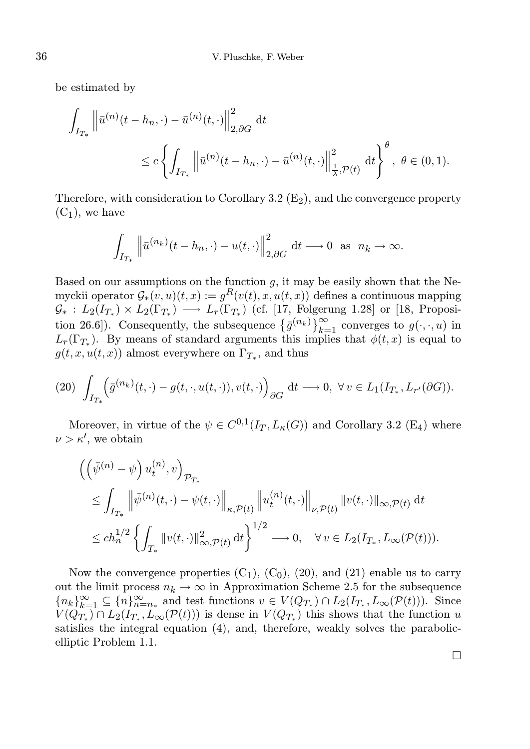be estimated by

$$
\int_{I_{T_*}} \left\| \bar{u}^{(n)}(t - h_n, \cdot) - \bar{u}^{(n)}(t, \cdot) \right\|_{2, \partial G}^2 dt
$$
\n
$$
\leq c \left\{ \int_{I_{T_*}} \left\| \bar{u}^{(n)}(t - h_n, \cdot) - \bar{u}^{(n)}(t, \cdot) \right\|_{\frac{1}{\lambda}, \mathcal{P}(t)}^2 dt \right\}^{\theta}, \ \theta \in (0, 1).
$$

Therefore, with consideration to Corollary 3.2  $(E_2)$ , and the convergence property  $(C_1)$ , we have

$$
\int_{I_{T_*}} \left\| \bar{u}^{(n_k)}(t - h_n, \cdot) - u(t, \cdot) \right\|_{2, \partial G}^2 \mathrm{d} t \longrightarrow 0 \text{ as } n_k \to \infty.
$$

Based on our assumptions on the function  $q$ , it may be easily shown that the Nemyckii operator  $\mathcal{G}_*(v, u)(t, x) := g^R(v(t), x, u(t, x))$  defines a continuous mapping  $\mathcal{G}_*$ :  $L_2(I_{T_*}) \times L_2(\Gamma_{T_*}) \longrightarrow L_r(\Gamma_{T_*})$  (cf. [17, Folgerung 1.28] or [18, Proposition 26.6]). Consequently, the subsequence  $\{\bar{g}^{(n_k)}\}_{k=1}^{\infty}$  converges to  $g(\cdot, \cdot, u)$  in  $L_r(\Gamma_{T_*})$ . By means of standard arguments this implies that  $\phi(t,x)$  is equal to  $g(t, x, u(t, x))$  almost everywhere on  $\Gamma_{T_*}$ , and thus

$$
(20)\ \int_{I_{T_*}} \left(\bar{g}^{(n_k)}(t,\cdot)-g(t,\cdot,u(t,\cdot)),v(t,\cdot)\right)_{\partial G} \, \mathrm{d}t \longrightarrow 0, \ \forall v \in L_1(I_{T_*},L_{r'}(\partial G)).
$$

Moreover, in virtue of the  $\psi \in C^{0,1}(I_T, L_{\kappa}(G))$  and Corollary 3.2 (E<sub>4</sub>) where  $\nu > \kappa'$ , we obtain

$$
\begin{aligned}\n&\left(\left(\bar{\psi}^{(n)}-\psi\right)u_t^{(n)},v\right)_{\mathcal{P}_{T_*}} \\
&\leq \int_{I_{T_*}} \left\|\bar{\psi}^{(n)}(t,\cdot)-\psi(t,\cdot)\right\|_{\kappa,\mathcal{P}(t)} \left\|u_t^{(n)}(t,\cdot)\right\|_{\nu,\mathcal{P}(t)} \|v(t,\cdot)\|_{\infty,\mathcal{P}(t)} \,\mathrm{d}t \\
&\leq ch_n^{1/2} \left\{\int_{T_*} \|v(t,\cdot)\|_{\infty,\mathcal{P}(t)}^2 \,\mathrm{d}t\right\}^{1/2} \longrightarrow 0, \quad \forall v \in L_2(I_{T_*}, L_\infty(\mathcal{P}(t))).\n\end{aligned}
$$

Now the convergence properties  $(C_1)$ ,  $(C_0)$ ,  $(20)$ , and  $(21)$  enable us to carry out the limit process  $n_k \to \infty$  in Approximation Scheme 2.5 for the subsequence  ${n_k}_{k=1}^{\infty} \subseteq {n_{n=n_{*}}}$  and test functions  $v \in V(Q_{T_{*}}) \cap L_2(I_{T_{*}}, L_{\infty}(\mathcal{P}(t)))$ . Since  $V(Q_{T_*}) \cap L_2(I_{T_*}, L_\infty(\mathcal{P}(t)))$  is dense in  $V(Q_{T_*})$  this shows that the function u satisfies the integral equation (4), and, therefore, weakly solves the parabolicelliptic Problem 1.1.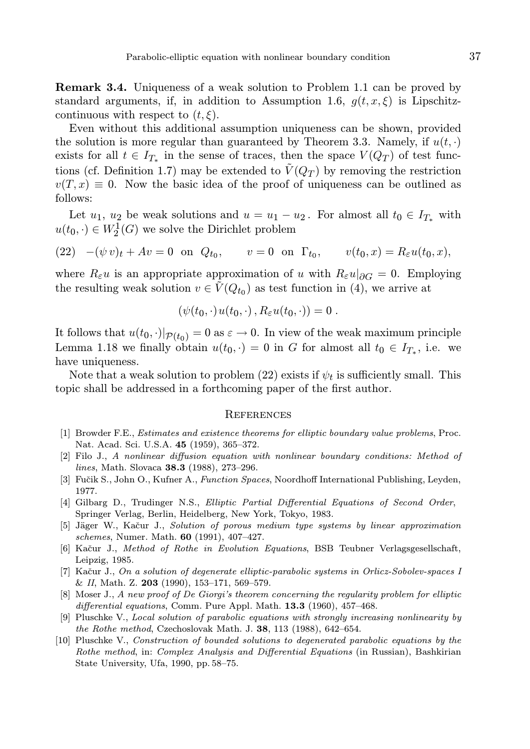Remark 3.4. Uniqueness of a weak solution to Problem 1.1 can be proved by standard arguments, if, in addition to Assumption 1.6,  $q(t, x, \xi)$  is Lipschitzcontinuous with respect to  $(t, \xi)$ .

Even without this additional assumption uniqueness can be shown, provided the solution is more regular than guaranteed by Theorem 3.3. Namely, if  $u(t, \cdot)$ exists for all  $t \in I_{T_*}$  in the sense of traces, then the space  $V(Q_T)$  of test functions (cf. Definition 1.7) may be extended to  $\tilde{V}(Q_T)$  by removing the restriction  $v(T, x) \equiv 0$ . Now the basic idea of the proof of uniqueness can be outlined as follows:

Let  $u_1, u_2$  be weak solutions and  $u = u_1 - u_2$ . For almost all  $t_0 \in I_{T_*}$  with  $u(t_0, \cdot) \in W_2^1(G)$  we solve the Dirichlet problem

(22)  $-(\psi v)_t + Av = 0$  on  $Q_{t_0}$ ,  $v = 0$  on  $\Gamma_{t_0}$ ,  $v(t_0, x) = R_{\varepsilon} u(t_0, x)$ ,

where  $R_{\varepsilon}u$  is an appropriate approximation of u with  $R_{\varepsilon}u|_{\partial G} = 0$ . Employing the resulting weak solution  $v \in \tilde{V}(Q_{t_0})$  as test function in (4), we arrive at

$$
(\psi(t_0,\cdot)u(t_0,\cdot),R_\varepsilon u(t_0,\cdot))=0.
$$

It follows that  $u(t_0, \cdot)|_{\mathcal{P}(t_0)} = 0$  as  $\varepsilon \to 0$ . In view of the weak maximum principle Lemma 1.18 we finally obtain  $u(t_0, \cdot) = 0$  in G for almost all  $t_0 \in I_{T_*}$ , i.e. we have uniqueness.

Note that a weak solution to problem (22) exists if  $\psi_t$  is sufficiently small. This topic shall be addressed in a forthcoming paper of the first author.

## **REFERENCES**

- [1] Browder F.E., Estimates and existence theorems for elliptic boundary value problems, Proc. Nat. Acad. Sci. U.S.A. 45 (1959), 365–372.
- [2] Filo J., A nonlinear diffusion equation with nonlinear boundary conditions: Method of lines, Math. Slovaca 38.3 (1988), 273–296.
- [3] Fučik S., John O., Kufner A., Function Spaces, Noordhoff International Publishing, Leyden, 1977.
- [4] Gilbarg D., Trudinger N.S., Elliptic Partial Differential Equations of Second Order, Springer Verlag, Berlin, Heidelberg, New York, Tokyo, 1983.
- [5] Jäger W., Kačur J., Solution of porous medium type systems by linear approximation schemes, Numer. Math. 60 (1991), 407–427.
- [6] Kačur J., Method of Rothe in Evolution Equations, BSB Teubner Verlagsgesellschaft, Leipzig, 1985.
- [7] Kačur J., On a solution of degenerate elliptic-parabolic systems in Orlicz-Sobolev-spaces I & II, Math. Z. 203 (1990), 153–171, 569–579.
- [8] Moser J., A new proof of De Giorgi's theorem concerning the regularity problem for elliptic differential equations, Comm. Pure Appl. Math.  $13.3$  (1960), 457–468.
- [9] Pluschke V., Local solution of parabolic equations with strongly increasing nonlinearity by the Rothe method, Czechoslovak Math. J.  $38$ , 113 (1988), 642–654.
- [10] Pluschke V., Construction of bounded solutions to degenerated parabolic equations by the Rothe method, in: Complex Analysis and Differential Equations (in Russian), Bashkirian State University, Ufa, 1990, pp. 58–75.